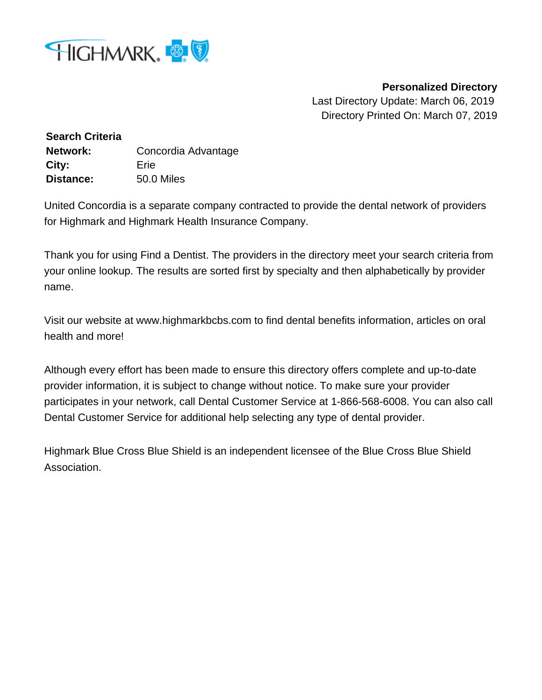

**Personalized Directory**

Last Directory Update: March 06, 2019 Directory Printed On: March 07, 2019

**Search Criteria Network:** Concordia Advantage **City:** Erie **Distance:** 50.0 Miles

United Concordia is a separate company contracted to provide the dental network of providers for Highmark and Highmark Health Insurance Company.

Thank you for using Find a Dentist. The providers in the directory meet your search criteria from your online lookup. The results are sorted first by specialty and then alphabetically by provider name.

Visit our website at www.highmarkbcbs.com to find dental benefits information, articles on oral health and more!

Although every effort has been made to ensure this directory offers complete and up-to-date provider information, it is subject to change without notice. To make sure your provider participates in your network, call Dental Customer Service at 1-866-568-6008. You can also call Dental Customer Service for additional help selecting any type of dental provider.

Highmark Blue Cross Blue Shield is an independent licensee of the Blue Cross Blue Shield Association.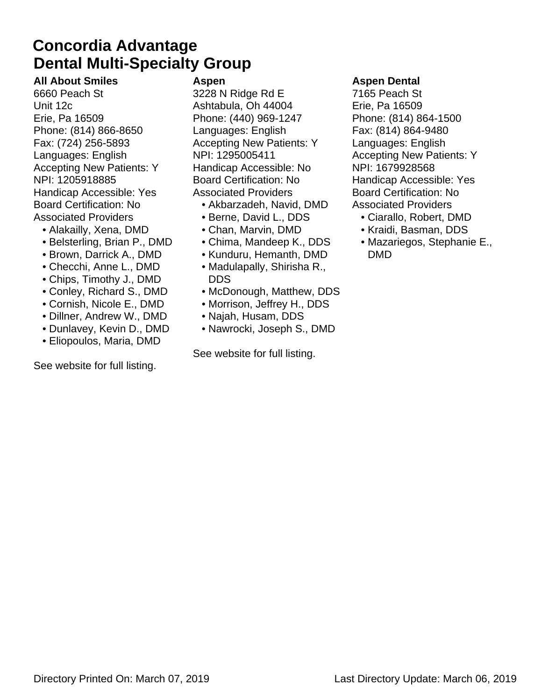### **Dental Multi-Specialty Group Concordia Advantage**

**All About Smiles** 6660 Peach St Unit 12c Erie, Pa 16509 Phone: (814) 866-8650 Fax: (724) 256-5893 Languages: English Accepting New Patients: Y NPI: 1205918885 Handicap Accessible: Yes Board Certification: No Associated Providers

- Alakailly, Xena, DMD
- Belsterling, Brian P., DMD
- Brown, Darrick A., DMD
- Checchi, Anne L., DMD
- Chips, Timothy J., DMD
- Conley, Richard S., DMD
- Cornish, Nicole E., DMD
- Dillner, Andrew W., DMD
- Dunlavey, Kevin D., DMD
- Eliopoulos, Maria, DMD

See website for full listing.

#### **Aspen**

3228 N Ridge Rd E Ashtabula, Oh 44004 Phone: (440) 969-1247 Languages: English Accepting New Patients: Y NPI: 1295005411 Handicap Accessible: No Board Certification: No Associated Providers

- Akbarzadeh, Navid, DMD
- Berne, David L., DDS
- Chan, Marvin, DMD
- Chima, Mandeep K., DDS
- Kunduru, Hemanth, DMD
- Madulapally, Shirisha R., DDS
- McDonough, Matthew, DDS
- Morrison, Jeffrey H., DDS
- Najah, Husam, DDS
- Nawrocki, Joseph S., DMD

See website for full listing.

#### **Aspen Dental**

7165 Peach St Erie, Pa 16509 Phone: (814) 864-1500 Fax: (814) 864-9480 Languages: English Accepting New Patients: Y NPI: 1679928568 Handicap Accessible: Yes Board Certification: No Associated Providers

- Ciarallo, Robert, DMD
- Kraidi, Basman, DDS
- Mazariegos, Stephanie E., DMD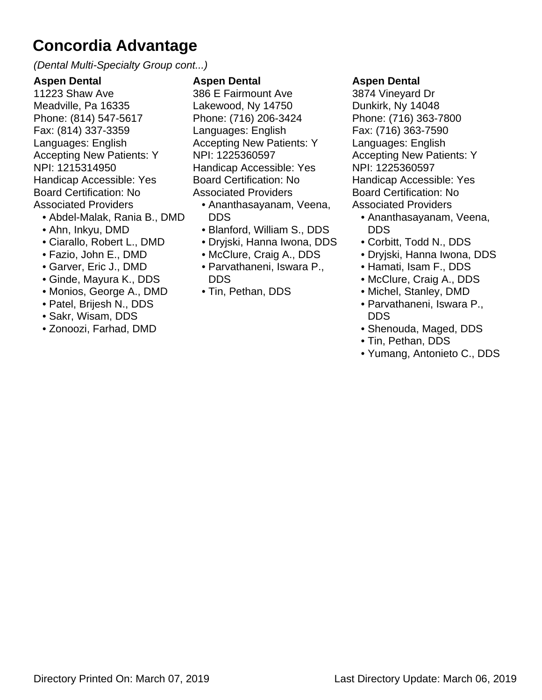(Dental Multi-Specialty Group cont...)

#### **Aspen Dental**

11223 Shaw Ave Meadville, Pa 16335 Phone: (814) 547-5617 Fax: (814) 337-3359 Languages: English Accepting New Patients: Y NPI: 1215314950 Handicap Accessible: Yes Board Certification: No Associated Providers

- Abdel-Malak, Rania B., DMD
- Ahn, Inkyu, DMD
- Ciarallo, Robert L., DMD
- Fazio, John E., DMD
- Garver, Eric J., DMD
- Ginde, Mayura K., DDS
- Monios, George A., DMD
- Patel, Brijesh N., DDS
- Sakr, Wisam, DDS
- Zonoozi, Farhad, DMD

#### **Aspen Dental**

386 E Fairmount Ave Lakewood, Ny 14750 Phone: (716) 206-3424 Languages: English Accepting New Patients: Y NPI: 1225360597 Handicap Accessible: Yes Board Certification: No Associated Providers

- Ananthasayanam, Veena, DDS
- Blanford, William S., DDS
- Dryjski, Hanna Iwona, DDS
- McClure, Craig A., DDS
- Parvathaneni, Iswara P., DDS
- Tin, Pethan, DDS

#### **Aspen Dental**

3874 Vineyard Dr Dunkirk, Ny 14048 Phone: (716) 363-7800 Fax: (716) 363-7590 Languages: English Accepting New Patients: Y NPI: 1225360597 Handicap Accessible: Yes Board Certification: No Associated Providers

- Ananthasayanam, Veena, DDS
- Corbitt, Todd N., DDS
- Dryjski, Hanna Iwona, DDS
- Hamati, Isam F., DDS
- McClure, Craig A., DDS
- Michel, Stanley, DMD
- Parvathaneni, Iswara P., DDS
- Shenouda, Maged, DDS
- Tin, Pethan, DDS
- Yumang, Antonieto C., DDS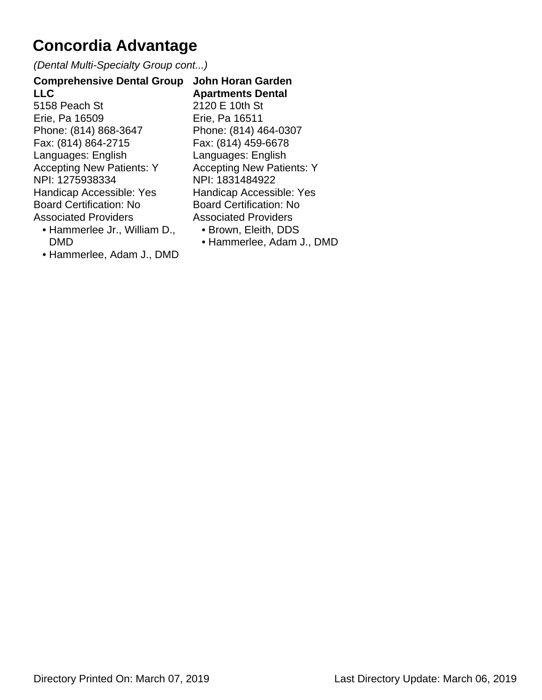(Dental Multi-Specialty Group cont...)

**Comprehensive Dental Group LLC** 5158 Peach St Erie, Pa 16509 Phone: (814) 868-3647 Fax: (814) 864-2715 Languages: English Accepting New Patients: Y NPI: 1275938334 Handicap Accessible: Yes Board Certification: No Associated Providers

- Hammerlee Jr., William D., DMD
- Hammerlee, Adam J., DMD

**John Horan Garden Apartments Dental** 2120 E 10th St Erie, Pa 16511 Phone: (814) 464-0307 Fax: (814) 459-6678 Languages: English Accepting New Patients: Y NPI: 1831484922 Handicap Accessible: Yes Board Certification: No Associated Providers

- Brown, Eleith, DDS
- Hammerlee, Adam J., DMD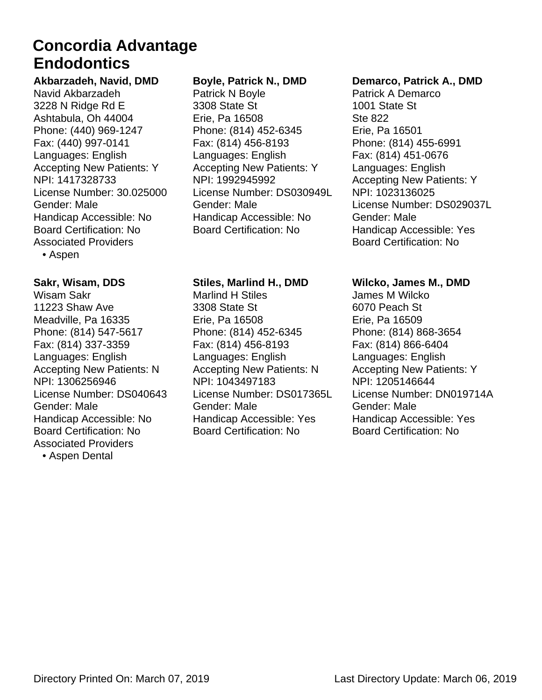### **Endodontics Concordia Advantage**

#### **Akbarzadeh, Navid, DMD** Navid Akbarzadeh

3228 N Ridge Rd E Ashtabula, Oh 44004 Phone: (440) 969-1247 Fax: (440) 997-0141 Languages: English Accepting New Patients: Y NPI: 1417328733 License Number: 30.025000 Gender: Male Handicap Accessible: No Board Certification: No Associated Providers

• Aspen

#### **Sakr, Wisam, DDS**

Wisam Sakr 11223 Shaw Ave Meadville, Pa 16335 Phone: (814) 547-5617 Fax: (814) 337-3359 Languages: English Accepting New Patients: N NPI: 1306256946 License Number: DS040643 Gender: Male Handicap Accessible: No Board Certification: No Associated Providers • Aspen Dental

#### **Boyle, Patrick N., DMD**

Patrick N Boyle 3308 State St Erie, Pa 16508 Phone: (814) 452-6345 Fax: (814) 456-8193 Languages: English Accepting New Patients: Y NPI: 1992945992 License Number: DS030949L Gender: Male Handicap Accessible: No Board Certification: No

#### **Stiles, Marlind H., DMD**

Marlind H Stiles 3308 State St Erie, Pa 16508 Phone: (814) 452-6345 Fax: (814) 456-8193 Languages: English Accepting New Patients: N NPI: 1043497183 License Number: DS017365L Gender: Male Handicap Accessible: Yes Board Certification: No

#### **Demarco, Patrick A., DMD**

Patrick A Demarco 1001 State St Ste 822 Erie, Pa 16501 Phone: (814) 455-6991 Fax: (814) 451-0676 Languages: English Accepting New Patients: Y NPI: 1023136025 License Number: DS029037L Gender: Male Handicap Accessible: Yes Board Certification: No

#### **Wilcko, James M., DMD**

James M Wilcko 6070 Peach St Erie, Pa 16509 Phone: (814) 868-3654 Fax: (814) 866-6404 Languages: English Accepting New Patients: Y NPI: 1205146644 License Number: DN019714A Gender: Male Handicap Accessible: Yes Board Certification: No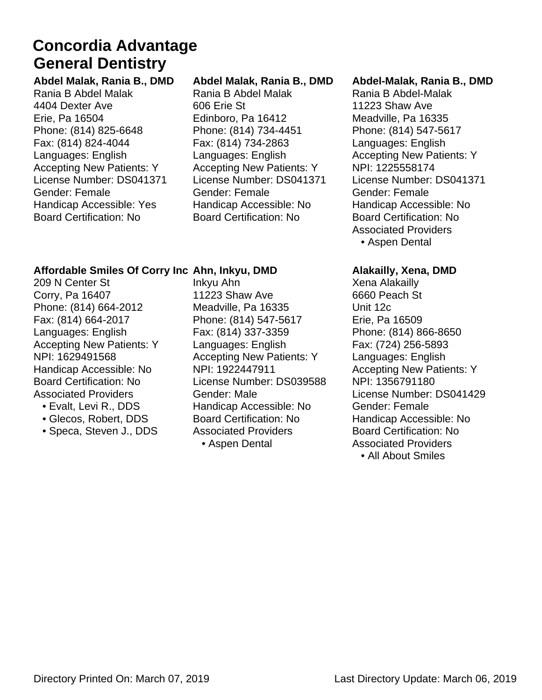### **General Dentistry Concordia Advantage**

**Abdel Malak, Rania B., DMD** Rania B Abdel Malak 4404 Dexter Ave Erie, Pa 16504 Phone: (814) 825-6648 Fax: (814) 824-4044 Languages: English Accepting New Patients: Y License Number: DS041371 Gender: Female Handicap Accessible: Yes Board Certification: No

#### **Abdel Malak, Rania B., DMD**

Rania B Abdel Malak 606 Erie St Edinboro, Pa 16412 Phone: (814) 734-4451 Fax: (814) 734-2863 Languages: English Accepting New Patients: Y License Number: DS041371 Gender: Female Handicap Accessible: No Board Certification: No

#### **Abdel-Malak, Rania B., DMD**

Rania B Abdel-Malak 11223 Shaw Ave Meadville, Pa 16335 Phone: (814) 547-5617 Languages: English Accepting New Patients: Y NPI: 1225558174 License Number: DS041371 Gender: Female Handicap Accessible: No Board Certification: No Associated Providers • Aspen Dental

#### **Affordable Smiles Of Corry Inc Ahn, Inkyu, DMD**

209 N Center St Corry, Pa 16407 Phone: (814) 664-2012 Fax: (814) 664-2017 Languages: English Accepting New Patients: Y NPI: 1629491568 Handicap Accessible: No Board Certification: No Associated Providers

- Evalt, Levi R., DDS
- Glecos, Robert, DDS
- Speca, Steven J., DDS

Inkyu Ahn 11223 Shaw Ave Meadville, Pa 16335 Phone: (814) 547-5617 Fax: (814) 337-3359 Languages: English Accepting New Patients: Y NPI: 1922447911 License Number: DS039588 Gender: Male Handicap Accessible: No Board Certification: No Associated Providers • Aspen Dental

#### **Alakailly, Xena, DMD**

Xena Alakailly 6660 Peach St Unit 12c Erie, Pa 16509 Phone: (814) 866-8650 Fax: (724) 256-5893 Languages: English Accepting New Patients: Y NPI: 1356791180 License Number: DS041429 Gender: Female Handicap Accessible: No Board Certification: No Associated Providers • All About Smiles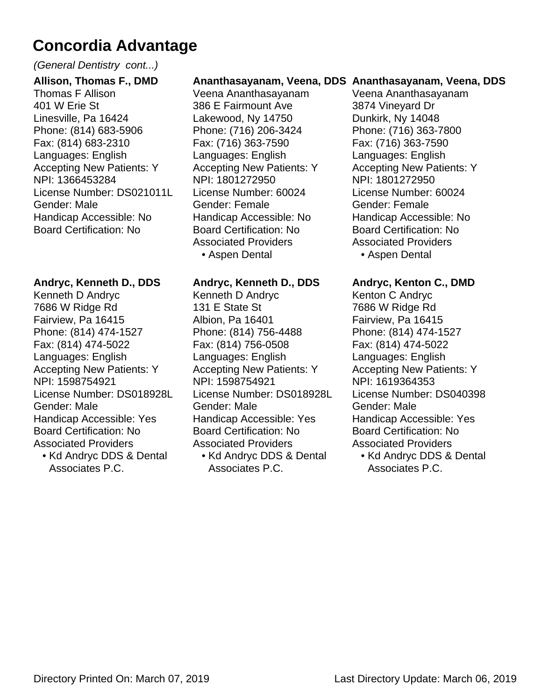#### (General Dentistry cont...)

**Allison, Thomas F., DMD** Thomas F Allison 401 W Erie St Linesville, Pa 16424 Phone: (814) 683-5906 Fax: (814) 683-2310 Languages: English Accepting New Patients: Y NPI: 1366453284 License Number: DS021011L Gender: Male Handicap Accessible: No Board Certification: No

#### **Andryc, Kenneth D., DDS**

Kenneth D Andryc 7686 W Ridge Rd Fairview, Pa 16415 Phone: (814) 474-1527 Fax: (814) 474-5022 Languages: English Accepting New Patients: Y NPI: 1598754921 License Number: DS018928L Gender: Male Handicap Accessible: Yes Board Certification: No Associated Providers

• Kd Andryc DDS & Dental Associates P.C.

#### **Ananthasayanam, Veena, DDS Ananthasayanam, Veena, DDS**

Veena Ananthasayanam 386 E Fairmount Ave Lakewood, Ny 14750 Phone: (716) 206-3424 Fax: (716) 363-7590 Languages: English Accepting New Patients: Y NPI: 1801272950 License Number: 60024 Gender: Female Handicap Accessible: No Board Certification: No Associated Providers • Aspen Dental

#### **Andryc, Kenneth D., DDS**

Kenneth D Andryc 131 E State St Albion, Pa 16401 Phone: (814) 756-4488 Fax: (814) 756-0508 Languages: English Accepting New Patients: Y NPI: 1598754921 License Number: DS018928L Gender: Male Handicap Accessible: Yes Board Certification: No Associated Providers

• Kd Andryc DDS & Dental Associates P.C.

Veena Ananthasayanam 3874 Vineyard Dr Dunkirk, Ny 14048 Phone: (716) 363-7800 Fax: (716) 363-7590 Languages: English Accepting New Patients: Y NPI: 1801272950 License Number: 60024 Gender: Female Handicap Accessible: No Board Certification: No Associated Providers • Aspen Dental

#### **Andryc, Kenton C., DMD**

Kenton C Andryc 7686 W Ridge Rd Fairview, Pa 16415 Phone: (814) 474-1527 Fax: (814) 474-5022 Languages: English Accepting New Patients: Y NPI: 1619364353 License Number: DS040398 Gender: Male Handicap Accessible: Yes Board Certification: No Associated Providers

• Kd Andryc DDS & Dental Associates P.C.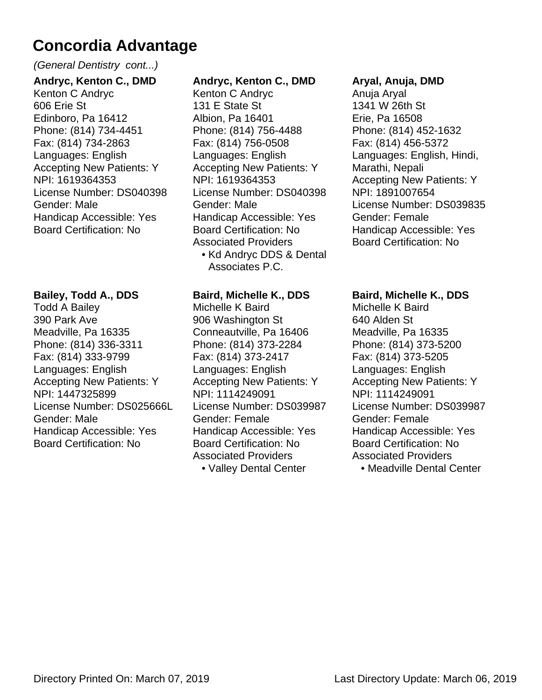#### (General Dentistry cont...)

**Andryc, Kenton C., DMD** Kenton C Andryc 606 Erie St Edinboro, Pa 16412 Phone: (814) 734-4451 Fax: (814) 734-2863 Languages: English Accepting New Patients: Y NPI: 1619364353 License Number: DS040398 Gender: Male Handicap Accessible: Yes Board Certification: No

#### **Bailey, Todd A., DDS**

Todd A Bailey 390 Park Ave Meadville, Pa 16335 Phone: (814) 336-3311 Fax: (814) 333-9799 Languages: English Accepting New Patients: Y NPI: 1447325899 License Number: DS025666L Gender: Male Handicap Accessible: Yes Board Certification: No

#### **Andryc, Kenton C., DMD**

Kenton C Andryc 131 E State St Albion, Pa 16401 Phone: (814) 756-4488 Fax: (814) 756-0508 Languages: English Accepting New Patients: Y NPI: 1619364353 License Number: DS040398 Gender: Male Handicap Accessible: Yes Board Certification: No Associated Providers

• Kd Andryc DDS & Dental Associates P.C.

#### **Baird, Michelle K., DDS**

Michelle K Baird 906 Washington St Conneautville, Pa 16406 Phone: (814) 373-2284 Fax: (814) 373-2417 Languages: English Accepting New Patients: Y NPI: 1114249091 License Number: DS039987 Gender: Female Handicap Accessible: Yes Board Certification: No Associated Providers

#### • Valley Dental Center

#### **Aryal, Anuja, DMD**

Anuja Aryal 1341 W 26th St Erie, Pa 16508 Phone: (814) 452-1632 Fax: (814) 456-5372 Languages: English, Hindi, Marathi, Nepali Accepting New Patients: Y NPI: 1891007654 License Number: DS039835 Gender: Female Handicap Accessible: Yes Board Certification: No

#### **Baird, Michelle K., DDS**

Michelle K Baird 640 Alden St Meadville, Pa 16335 Phone: (814) 373-5200 Fax: (814) 373-5205 Languages: English Accepting New Patients: Y NPI: 1114249091 License Number: DS039987 Gender: Female Handicap Accessible: Yes Board Certification: No Associated Providers

• Meadville Dental Center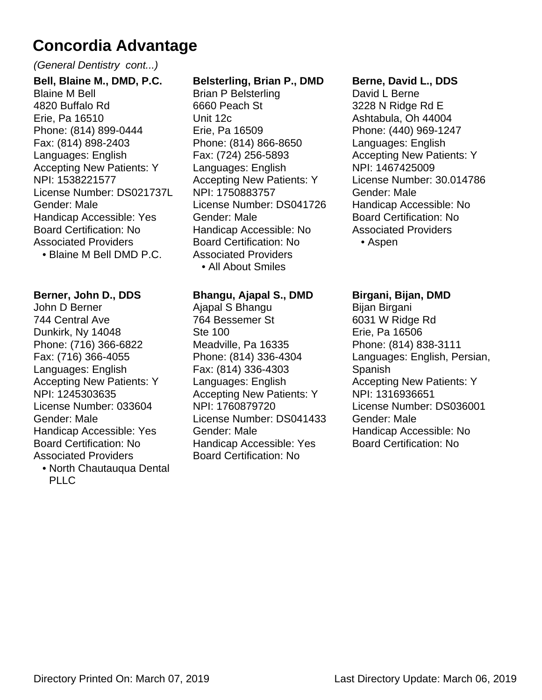#### (General Dentistry cont...)

**Bell, Blaine M., DMD, P.C.** Blaine M Bell 4820 Buffalo Rd Erie, Pa 16510 Phone: (814) 899-0444 Fax: (814) 898-2403 Languages: English Accepting New Patients: Y NPI: 1538221577 License Number: DS021737L Gender: Male Handicap Accessible: Yes Board Certification: No Associated Providers • Blaine M Bell DMD P.C.

#### **Berner, John D., DDS**

John D Berner 744 Central Ave Dunkirk, Ny 14048 Phone: (716) 366-6822 Fax: (716) 366-4055 Languages: English Accepting New Patients: Y NPI: 1245303635 License Number: 033604 Gender: Male Handicap Accessible: Yes Board Certification: No Associated Providers

North Chautauqua Dental • PLLC

#### **Belsterling, Brian P., DMD**

Brian P Belsterling 6660 Peach St Unit 12c Erie, Pa 16509 Phone: (814) 866-8650 Fax: (724) 256-5893 Languages: English Accepting New Patients: Y NPI: 1750883757 License Number: DS041726 Gender: Male Handicap Accessible: No Board Certification: No Associated Providers • All About Smiles

#### **Bhangu, Ajapal S., DMD**

Ajapal S Bhangu 764 Bessemer St Ste 100 Meadville, Pa 16335 Phone: (814) 336-4304 Fax: (814) 336-4303 Languages: English Accepting New Patients: Y NPI: 1760879720 License Number: DS041433 Gender: Male Handicap Accessible: Yes Board Certification: No

#### **Berne, David L., DDS**

David L Berne 3228 N Ridge Rd E Ashtabula, Oh 44004 Phone: (440) 969-1247 Languages: English Accepting New Patients: Y NPI: 1467425009 License Number: 30.014786 Gender: Male Handicap Accessible: No Board Certification: No Associated Providers • Aspen

#### **Birgani, Bijan, DMD**

Bijan Birgani 6031 W Ridge Rd Erie, Pa 16506 Phone: (814) 838-3111 Languages: English, Persian, Spanish Accepting New Patients: Y NPI: 1316936651 License Number: DS036001 Gender: Male Handicap Accessible: No Board Certification: No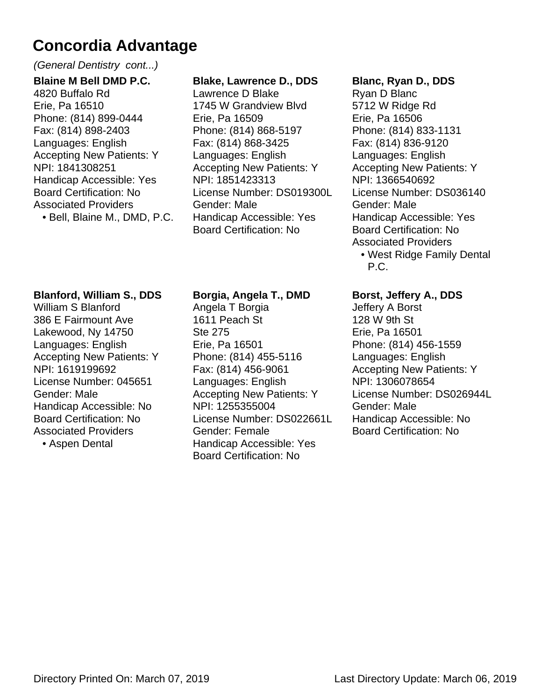#### (General Dentistry cont...)

**Blaine M Bell DMD P.C.** 4820 Buffalo Rd Erie, Pa 16510 Phone: (814) 899-0444 Fax: (814) 898-2403 Languages: English Accepting New Patients: Y NPI: 1841308251 Handicap Accessible: Yes Board Certification: No Associated Providers

• Bell, Blaine M., DMD, P.C.

#### **Blake, Lawrence D., DDS**

Lawrence D Blake 1745 W Grandview Blvd Erie, Pa 16509 Phone: (814) 868-5197 Fax: (814) 868-3425 Languages: English Accepting New Patients: Y NPI: 1851423313 License Number: DS019300L Gender: Male Handicap Accessible: Yes Board Certification: No

#### **Blanc, Ryan D., DDS**

Ryan D Blanc 5712 W Ridge Rd Erie, Pa 16506 Phone: (814) 833-1131 Fax: (814) 836-9120 Languages: English Accepting New Patients: Y NPI: 1366540692 License Number: DS036140 Gender: Male Handicap Accessible: Yes Board Certification: No Associated Providers

• West Ridge Family Dental P.C.

#### **Blanford, William S., DDS**

William S Blanford 386 E Fairmount Ave Lakewood, Ny 14750 Languages: English Accepting New Patients: Y NPI: 1619199692 License Number: 045651 Gender: Male Handicap Accessible: No Board Certification: No Associated Providers

• Aspen Dental

#### **Borgia, Angela T., DMD**

Angela T Borgia 1611 Peach St Ste 275 Erie, Pa 16501 Phone: (814) 455-5116 Fax: (814) 456-9061 Languages: English Accepting New Patients: Y NPI: 1255355004 License Number: DS022661L Gender: Female Handicap Accessible: Yes Board Certification: No

#### **Borst, Jeffery A., DDS**

Jeffery A Borst 128 W 9th St Erie, Pa 16501 Phone: (814) 456-1559 Languages: English Accepting New Patients: Y NPI: 1306078654 License Number: DS026944L Gender: Male Handicap Accessible: No Board Certification: No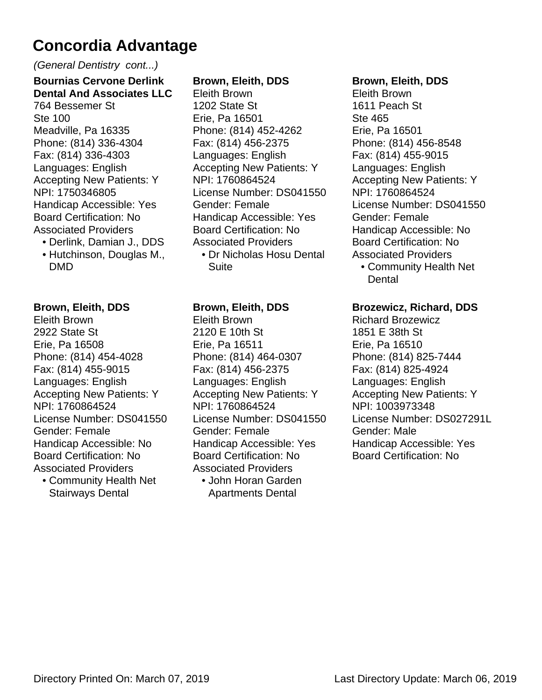#### (General Dentistry cont...)

**Bournias Cervone Derlink Dental And Associates LLC** 764 Bessemer St Ste 100 Meadville, Pa 16335 Phone: (814) 336-4304 Fax: (814) 336-4303 Languages: English Accepting New Patients: Y NPI: 1750346805 Handicap Accessible: Yes Board Certification: No Associated Providers

• Derlink, Damian J., DDS • Hutchinson, Douglas M., DMD

#### **Brown, Eleith, DDS**

Eleith Brown 2922 State St Erie, Pa 16508 Phone: (814) 454-4028 Fax: (814) 455-9015 Languages: English Accepting New Patients: Y NPI: 1760864524 License Number: DS041550 Gender: Female Handicap Accessible: No Board Certification: No Associated Providers Community Health Net •

Stairways Dental

#### **Brown, Eleith, DDS**

Eleith Brown 1202 State St Erie, Pa 16501 Phone: (814) 452-4262 Fax: (814) 456-2375 Languages: English Accepting New Patients: Y NPI: 1760864524 License Number: DS041550 Gender: Female Handicap Accessible: Yes Board Certification: No Associated Providers

Dr Nicholas Hosu Dental • Suite

#### **Brown, Eleith, DDS**

Eleith Brown 2120 E 10th St Erie, Pa 16511 Phone: (814) 464-0307 Fax: (814) 456-2375 Languages: English Accepting New Patients: Y NPI: 1760864524 License Number: DS041550 Gender: Female Handicap Accessible: Yes Board Certification: No Associated Providers John Horan Garden • Apartments Dental

#### **Brown, Eleith, DDS**

Eleith Brown 1611 Peach St Ste 465 Erie, Pa 16501 Phone: (814) 456-8548 Fax: (814) 455-9015 Languages: English Accepting New Patients: Y NPI: 1760864524 License Number: DS041550 Gender: Female Handicap Accessible: No Board Certification: No Associated Providers

Community Health Net • Dental

#### **Brozewicz, Richard, DDS**

Richard Brozewicz 1851 E 38th St Erie, Pa 16510 Phone: (814) 825-7444 Fax: (814) 825-4924 Languages: English Accepting New Patients: Y NPI: 1003973348 License Number: DS027291L Gender: Male Handicap Accessible: Yes Board Certification: No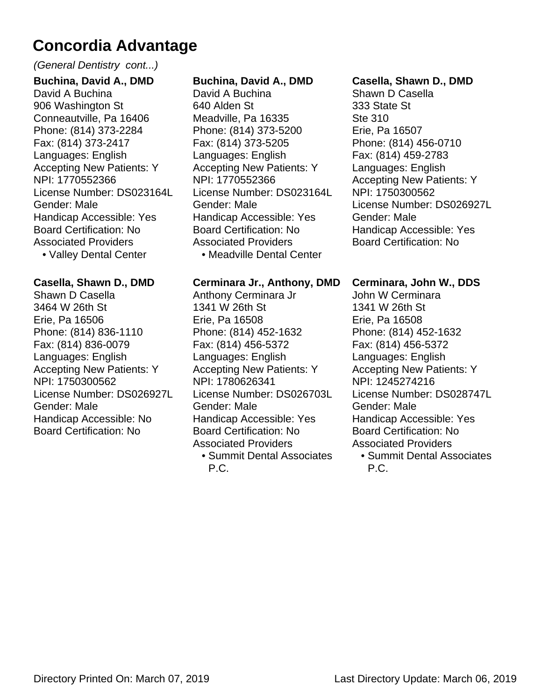#### (General Dentistry cont...)

**Buchina, David A., DMD** David A Buchina 906 Washington St Conneautville, Pa 16406 Phone: (814) 373-2284 Fax: (814) 373-2417 Languages: English Accepting New Patients: Y NPI: 1770552366 License Number: DS023164L Gender: Male Handicap Accessible: Yes Board Certification: No Associated Providers • Valley Dental Center

#### **Casella, Shawn D., DMD**

Shawn D Casella 3464 W 26th St Erie, Pa 16506 Phone: (814) 836-1110 Fax: (814) 836-0079 Languages: English Accepting New Patients: Y NPI: 1750300562 License Number: DS026927L Gender: Male Handicap Accessible: No Board Certification: No

#### **Buchina, David A., DMD**

David A Buchina 640 Alden St Meadville, Pa 16335 Phone: (814) 373-5200 Fax: (814) 373-5205 Languages: English Accepting New Patients: Y NPI: 1770552366 License Number: DS023164L Gender: Male Handicap Accessible: Yes Board Certification: No Associated Providers • Meadville Dental Center

#### **Cerminara Jr., Anthony, DMD**

Anthony Cerminara Jr 1341 W 26th St Erie, Pa 16508 Phone: (814) 452-1632 Fax: (814) 456-5372 Languages: English Accepting New Patients: Y NPI: 1780626341 License Number: DS026703L Gender: Male Handicap Accessible: Yes Board Certification: No Associated Providers **• Summit Dental Associates** 

P.C.

#### **Casella, Shawn D., DMD**

Shawn D Casella 333 State St Ste 310 Erie, Pa 16507 Phone: (814) 456-0710 Fax: (814) 459-2783 Languages: English Accepting New Patients: Y NPI: 1750300562 License Number: DS026927L Gender: Male Handicap Accessible: Yes Board Certification: No

#### **Cerminara, John W., DDS**

John W Cerminara 1341 W 26th St Erie, Pa 16508 Phone: (814) 452-1632 Fax: (814) 456-5372 Languages: English Accepting New Patients: Y NPI: 1245274216 License Number: DS028747L Gender: Male Handicap Accessible: Yes Board Certification: No Associated Providers **• Summit Dental Associates** 

```
P.C.
```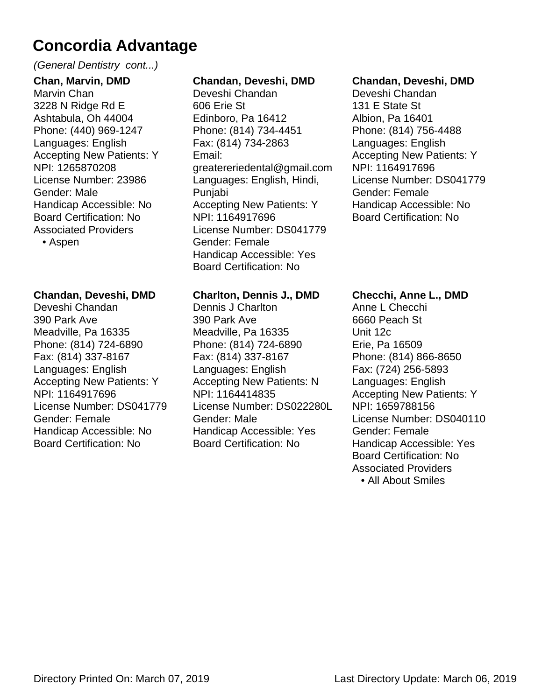#### (General Dentistry cont...)

**Chan, Marvin, DMD** Marvin Chan 3228 N Ridge Rd E Ashtabula, Oh 44004 Phone: (440) 969-1247 Languages: English Accepting New Patients: Y NPI: 1265870208 License Number: 23986 Gender: Male Handicap Accessible: No Board Certification: No Associated Providers

• Aspen

#### **Chandan, Deveshi, DMD**

Deveshi Chandan 390 Park Ave Meadville, Pa 16335 Phone: (814) 724-6890 Fax: (814) 337-8167 Languages: English Accepting New Patients: Y NPI: 1164917696 License Number: DS041779 Gender: Female Handicap Accessible: No Board Certification: No

#### **Chandan, Deveshi, DMD**

Deveshi Chandan 606 Erie St Edinboro, Pa 16412 Phone: (814) 734-4451 Fax: (814) 734-2863 Email: greatereriedental@gmail.com Languages: English, Hindi, Punjabi Accepting New Patients: Y NPI: 1164917696 License Number: DS041779 Gender: Female Handicap Accessible: Yes Board Certification: No

#### **Charlton, Dennis J., DMD**

Dennis J Charlton 390 Park Ave Meadville, Pa 16335 Phone: (814) 724-6890 Fax: (814) 337-8167 Languages: English Accepting New Patients: N NPI: 1164414835 License Number: DS022280L Gender: Male Handicap Accessible: Yes Board Certification: No

#### **Chandan, Deveshi, DMD**

Deveshi Chandan 131 E State St Albion, Pa 16401 Phone: (814) 756-4488 Languages: English Accepting New Patients: Y NPI: 1164917696 License Number: DS041779 Gender: Female Handicap Accessible: No Board Certification: No

#### **Checchi, Anne L., DMD**

Anne L Checchi 6660 Peach St Unit 12c Erie, Pa 16509 Phone: (814) 866-8650 Fax: (724) 256-5893 Languages: English Accepting New Patients: Y NPI: 1659788156 License Number: DS040110 Gender: Female Handicap Accessible: Yes Board Certification: No Associated Providers • All About Smiles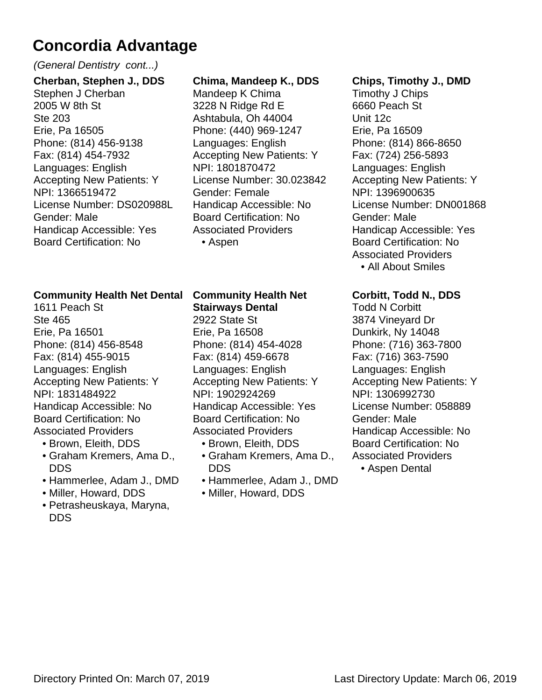#### (General Dentistry cont...)

**Cherban, Stephen J., DDS** Stephen J Cherban 2005 W 8th St Ste 203 Erie, Pa 16505 Phone: (814) 456-9138 Fax: (814) 454-7932 Languages: English Accepting New Patients: Y NPI: 1366519472 License Number: DS020988L Gender: Male Handicap Accessible: Yes Board Certification: No

#### **Community Health Net Dental**

1611 Peach St Ste 465 Erie, Pa 16501 Phone: (814) 456-8548 Fax: (814) 455-9015 Languages: English Accepting New Patients: Y NPI: 1831484922 Handicap Accessible: No Board Certification: No Associated Providers

- Brown, Eleith, DDS
- Graham Kremers, Ama D., DDS
- Hammerlee, Adam J., DMD
- Miller, Howard, DDS
- Petrasheuskaya, Maryna, DDS

#### **Chima, Mandeep K., DDS**

Mandeep K Chima 3228 N Ridge Rd E Ashtabula, Oh 44004 Phone: (440) 969-1247 Languages: English Accepting New Patients: Y NPI: 1801870472 License Number: 30.023842 Gender: Female Handicap Accessible: No Board Certification: No Associated Providers • Aspen

#### **Community Health Net Stairways Dental**

2922 State St Erie, Pa 16508 Phone: (814) 454-4028 Fax: (814) 459-6678 Languages: English Accepting New Patients: Y NPI: 1902924269 Handicap Accessible: Yes Board Certification: No Associated Providers

- Brown, Eleith, DDS
- Graham Kremers, Ama D., DDS
- Hammerlee, Adam J., DMD
- Miller, Howard, DDS

#### **Chips, Timothy J., DMD**

Timothy J Chips 6660 Peach St Unit 12c Erie, Pa 16509 Phone: (814) 866-8650 Fax: (724) 256-5893 Languages: English Accepting New Patients: Y NPI: 1396900635 License Number: DN001868 Gender: Male Handicap Accessible: Yes Board Certification: No Associated Providers • All About Smiles

#### **Corbitt, Todd N., DDS**

Todd N Corbitt 3874 Vineyard Dr Dunkirk, Ny 14048 Phone: (716) 363-7800 Fax: (716) 363-7590 Languages: English Accepting New Patients: Y NPI: 1306992730 License Number: 058889 Gender: Male Handicap Accessible: No Board Certification: No Associated Providers

• Aspen Dental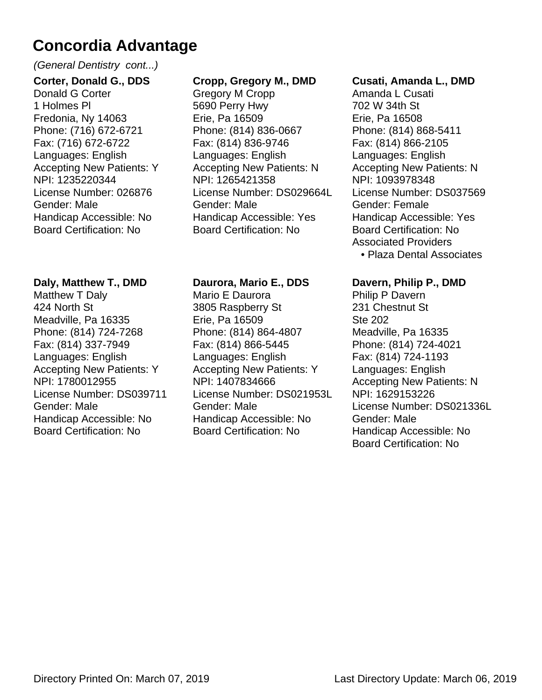#### (General Dentistry cont...)

**Corter, Donald G., DDS** Donald G Corter 1 Holmes Pl Fredonia, Ny 14063 Phone: (716) 672-6721 Fax: (716) 672-6722 Languages: English Accepting New Patients: Y NPI: 1235220344 License Number: 026876 Gender: Male Handicap Accessible: No Board Certification: No

#### **Daly, Matthew T., DMD**

Matthew T Daly 424 North St Meadville, Pa 16335 Phone: (814) 724-7268 Fax: (814) 337-7949 Languages: English Accepting New Patients: Y NPI: 1780012955 License Number: DS039711 Gender: Male Handicap Accessible: No Board Certification: No

#### **Cropp, Gregory M., DMD**

Gregory M Cropp 5690 Perry Hwy Erie, Pa 16509 Phone: (814) 836-0667 Fax: (814) 836-9746 Languages: English Accepting New Patients: N NPI: 1265421358 License Number: DS029664L Gender: Male Handicap Accessible: Yes Board Certification: No

#### **Daurora, Mario E., DDS**

Mario E Daurora 3805 Raspberry St Erie, Pa 16509 Phone: (814) 864-4807 Fax: (814) 866-5445 Languages: English Accepting New Patients: Y NPI: 1407834666 License Number: DS021953L Gender: Male Handicap Accessible: No Board Certification: No

#### **Cusati, Amanda L., DMD**

Amanda L Cusati 702 W 34th St Erie, Pa 16508 Phone: (814) 868-5411 Fax: (814) 866-2105 Languages: English Accepting New Patients: N NPI: 1093978348 License Number: DS037569 Gender: Female Handicap Accessible: Yes Board Certification: No Associated Providers • Plaza Dental Associates

**Davern, Philip P., DMD** Philip P Davern 231 Chestnut St Ste 202 Meadville, Pa 16335 Phone: (814) 724-4021 Fax: (814) 724-1193 Languages: English Accepting New Patients: N NPI: 1629153226 License Number: DS021336L Gender: Male Handicap Accessible: No Board Certification: No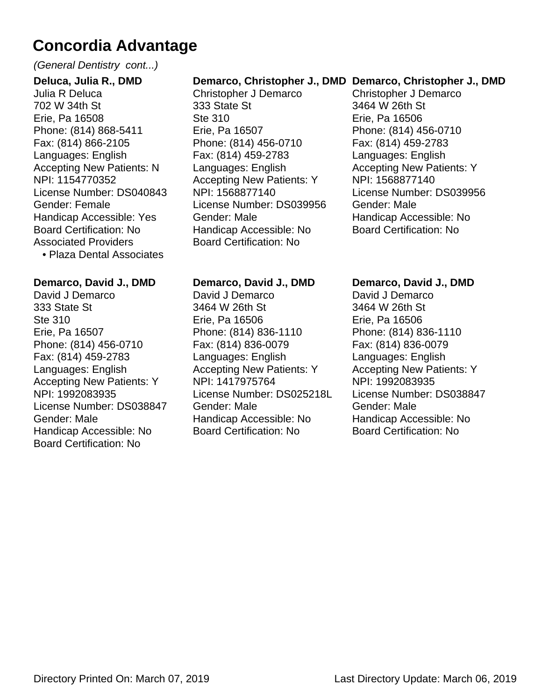#### (General Dentistry cont...)

**Deluca, Julia R., DMD** Julia R Deluca 702 W 34th St Erie, Pa 16508 Phone: (814) 868-5411 Fax: (814) 866-2105 Languages: English Accepting New Patients: N NPI: 1154770352 License Number: DS040843 Gender: Female Handicap Accessible: Yes Board Certification: No Associated Providers • Plaza Dental Associates

**Demarco, David J., DMD**

David J Demarco 333 State St Ste 310 Erie, Pa 16507 Phone: (814) 456-0710 Fax: (814) 459-2783 Languages: English Accepting New Patients: Y NPI: 1992083935 License Number: DS038847 Gender: Male Handicap Accessible: No Board Certification: No

#### **Demarco, Christopher J., DMD Demarco, Christopher J., DMD**

Christopher J Demarco 333 State St Ste 310 Erie, Pa 16507 Phone: (814) 456-0710 Fax: (814) 459-2783 Languages: English Accepting New Patients: Y NPI: 1568877140 License Number: DS039956 Gender: Male Handicap Accessible: No Board Certification: No

**Demarco, David J., DMD**

Phone: (814) 836-1110 Fax: (814) 836-0079 Languages: English

Accepting New Patients: Y

Handicap Accessible: No Board Certification: No

License Number: DS025218L

David J Demarco 3464 W 26th St Erie, Pa 16506

NPI: 1417975764

Gender: Male

Christopher J Demarco 3464 W 26th St Erie, Pa 16506 Phone: (814) 456-0710 Fax: (814) 459-2783 Languages: English Accepting New Patients: Y NPI: 1568877140 License Number: DS039956 Gender: Male Handicap Accessible: No Board Certification: No

#### **Demarco, David J., DMD**

David J Demarco 3464 W 26th St Erie, Pa 16506 Phone: (814) 836-1110 Fax: (814) 836-0079 Languages: English Accepting New Patients: Y NPI: 1992083935 License Number: DS038847 Gender: Male Handicap Accessible: No Board Certification: No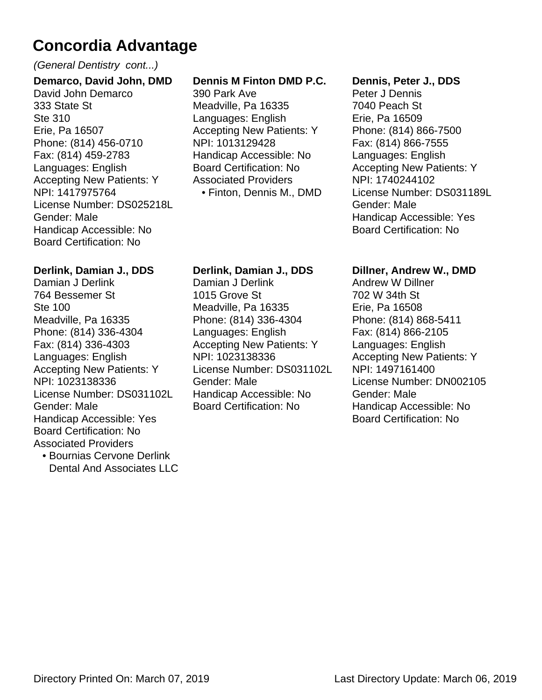#### (General Dentistry cont...)

**Demarco, David John, DMD** David John Demarco 333 State St Ste 310 Erie, Pa 16507 Phone: (814) 456-0710 Fax: (814) 459-2783 Languages: English Accepting New Patients: Y NPI: 1417975764 License Number: DS025218L Gender: Male Handicap Accessible: No Board Certification: No

#### **Derlink, Damian J., DDS**

Damian J Derlink 764 Bessemer St Ste 100 Meadville, Pa 16335 Phone: (814) 336-4304 Fax: (814) 336-4303 Languages: English Accepting New Patients: Y NPI: 1023138336 License Number: DS031102L Gender: Male Handicap Accessible: Yes Board Certification: No Associated Providers

• Bournias Cervone Derlink Dental And Associates LLC

#### **Dennis M Finton DMD P.C.**

390 Park Ave Meadville, Pa 16335 Languages: English Accepting New Patients: Y NPI: 1013129428 Handicap Accessible: No Board Certification: No Associated Providers • Finton, Dennis M., DMD

#### **Derlink, Damian J., DDS**

Damian J Derlink 1015 Grove St Meadville, Pa 16335 Phone: (814) 336-4304 Languages: English Accepting New Patients: Y NPI: 1023138336 License Number: DS031102L Gender: Male Handicap Accessible: No Board Certification: No

#### **Dennis, Peter J., DDS**

Peter J Dennis 7040 Peach St Erie, Pa 16509 Phone: (814) 866-7500 Fax: (814) 866-7555 Languages: English Accepting New Patients: Y NPI: 1740244102 License Number: DS031189L Gender: Male Handicap Accessible: Yes Board Certification: No

#### **Dillner, Andrew W., DMD**

Andrew W Dillner 702 W 34th St Erie, Pa 16508 Phone: (814) 868-5411 Fax: (814) 866-2105 Languages: English Accepting New Patients: Y NPI: 1497161400 License Number: DN002105 Gender: Male Handicap Accessible: No Board Certification: No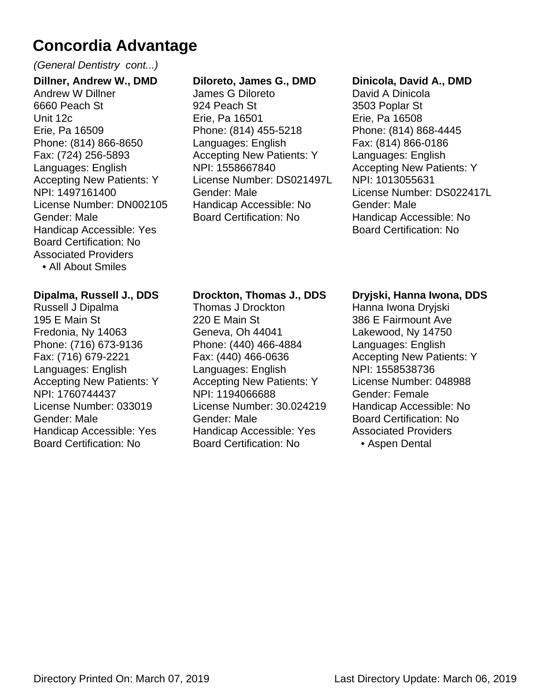#### (General Dentistry cont...)

**Dillner, Andrew W., DMD** Andrew W Dillner 6660 Peach St Unit 12c Erie, Pa 16509 Phone: (814) 866-8650 Fax: (724) 256-5893 Languages: English Accepting New Patients: Y NPI: 1497161400 License Number: DN002105 Gender: Male Handicap Accessible: Yes Board Certification: No Associated Providers

• All About Smiles

#### **Dipalma, Russell J., DDS**

Russell J Dipalma 195 E Main St Fredonia, Ny 14063 Phone: (716) 673-9136 Fax: (716) 679-2221 Languages: English Accepting New Patients: Y NPI: 1760744437 License Number: 033019 Gender: Male Handicap Accessible: Yes Board Certification: No

#### **Diloreto, James G., DMD**

James G Diloreto 924 Peach St Erie, Pa 16501 Phone: (814) 455-5218 Languages: English Accepting New Patients: Y NPI: 1558667840 License Number: DS021497L Gender: Male Handicap Accessible: No Board Certification: No

#### **Dinicola, David A., DMD**

David A Dinicola 3503 Poplar St Erie, Pa 16508 Phone: (814) 868-4445 Fax: (814) 866-0186 Languages: English Accepting New Patients: Y NPI: 1013055631 License Number: DS022417L Gender: Male Handicap Accessible: No Board Certification: No

#### **Drockton, Thomas J., DDS**

Thomas J Drockton 220 E Main St Geneva, Oh 44041 Phone: (440) 466-4884 Fax: (440) 466-0636 Languages: English Accepting New Patients: Y NPI: 1194066688 License Number: 30.024219 Gender: Male Handicap Accessible: Yes Board Certification: No

#### **Dryjski, Hanna Iwona, DDS**

Hanna Iwona Dryjski 386 E Fairmount Ave Lakewood, Ny 14750 Languages: English Accepting New Patients: Y NPI: 1558538736 License Number: 048988 Gender: Female Handicap Accessible: No Board Certification: No Associated Providers • Aspen Dental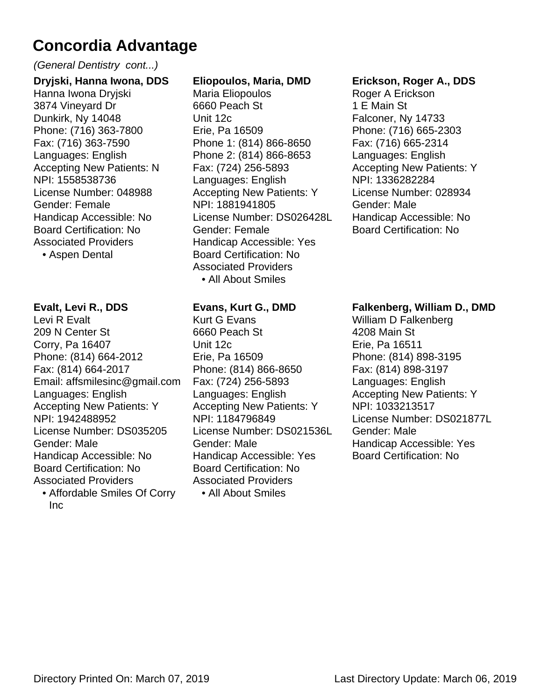(General Dentistry cont...)

**Dryjski, Hanna Iwona, DDS** Hanna Iwona Dryjski 3874 Vineyard Dr Dunkirk, Ny 14048 Phone: (716) 363-7800 Fax: (716) 363-7590 Languages: English Accepting New Patients: N NPI: 1558538736 License Number: 048988 Gender: Female Handicap Accessible: No Board Certification: No Associated Providers

• Aspen Dental

#### **Evalt, Levi R., DDS**

Levi R Evalt 209 N Center St Corry, Pa 16407 Phone: (814) 664-2012 Fax: (814) 664-2017 Email: affsmilesinc@gmail.com Languages: English Accepting New Patients: Y NPI: 1942488952 License Number: DS035205 Gender: Male Handicap Accessible: No Board Certification: No Associated Providers Affordable Smiles Of Corry •

Inc

#### **Eliopoulos, Maria, DMD**

Maria Eliopoulos 6660 Peach St Unit 12c Erie, Pa 16509 Phone 1: (814) 866-8650 Phone 2: (814) 866-8653 Fax: (724) 256-5893 Languages: English Accepting New Patients: Y NPI: 1881941805 License Number: DS026428L Gender: Female Handicap Accessible: Yes Board Certification: No Associated Providers • All About Smiles

#### **Evans, Kurt G., DMD**

Kurt G Evans 6660 Peach St Unit 12c Erie, Pa 16509 Phone: (814) 866-8650 Fax: (724) 256-5893 Languages: English Accepting New Patients: Y NPI: 1184796849 License Number: DS021536L Gender: Male Handicap Accessible: Yes Board Certification: No Associated Providers • All About Smiles

#### **Erickson, Roger A., DDS**

Roger A Erickson 1 E Main St Falconer, Ny 14733 Phone: (716) 665-2303 Fax: (716) 665-2314 Languages: English Accepting New Patients: Y NPI: 1336282284 License Number: 028934 Gender: Male Handicap Accessible: No Board Certification: No

#### **Falkenberg, William D., DMD**

William D Falkenberg 4208 Main St Erie, Pa 16511 Phone: (814) 898-3195 Fax: (814) 898-3197 Languages: English Accepting New Patients: Y NPI: 1033213517 License Number: DS021877L Gender: Male Handicap Accessible: Yes Board Certification: No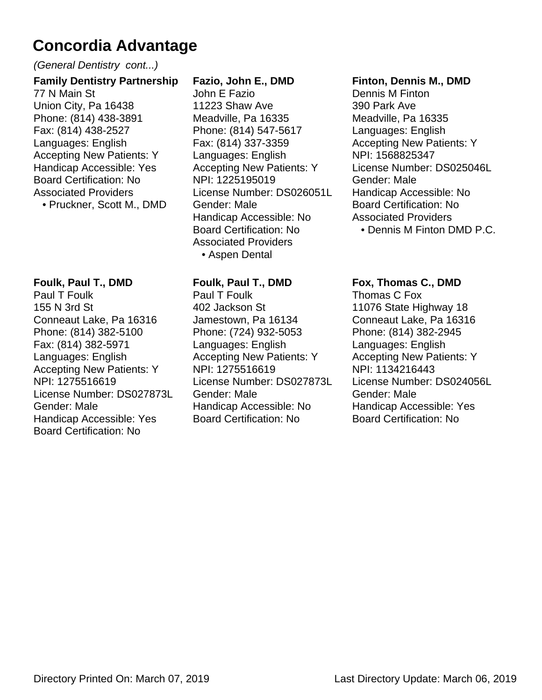(General Dentistry cont...)

#### **Family Dentistry Partnership** 77 N Main St Union City, Pa 16438 Phone: (814) 438-3891 Fax: (814) 438-2527 Languages: English Accepting New Patients: Y Handicap Accessible: Yes Board Certification: No Associated Providers

• Pruckner, Scott M., DMD

#### **Foulk, Paul T., DMD**

Paul T Foulk 155 N 3rd St Conneaut Lake, Pa 16316 Phone: (814) 382-5100 Fax: (814) 382-5971 Languages: English Accepting New Patients: Y NPI: 1275516619 License Number: DS027873L Gender: Male Handicap Accessible: Yes Board Certification: No

#### **Fazio, John E., DMD**

John E Fazio 11223 Shaw Ave Meadville, Pa 16335 Phone: (814) 547-5617 Fax: (814) 337-3359 Languages: English Accepting New Patients: Y NPI: 1225195019 License Number: DS026051L Gender: Male Handicap Accessible: No Board Certification: No Associated Providers • Aspen Dental

#### **Foulk, Paul T., DMD**

Paul T Foulk 402 Jackson St Jamestown, Pa 16134 Phone: (724) 932-5053 Languages: English Accepting New Patients: Y NPI: 1275516619 License Number: DS027873L Gender: Male Handicap Accessible: No Board Certification: No

#### **Finton, Dennis M., DMD**

Dennis M Finton 390 Park Ave Meadville, Pa 16335 Languages: English Accepting New Patients: Y NPI: 1568825347 License Number: DS025046L Gender: Male Handicap Accessible: No Board Certification: No Associated Providers • Dennis M Finton DMD P.C.

#### **Fox, Thomas C., DMD**

Thomas C Fox 11076 State Highway 18 Conneaut Lake, Pa 16316 Phone: (814) 382-2945 Languages: English Accepting New Patients: Y NPI: 1134216443 License Number: DS024056L Gender: Male Handicap Accessible: Yes Board Certification: No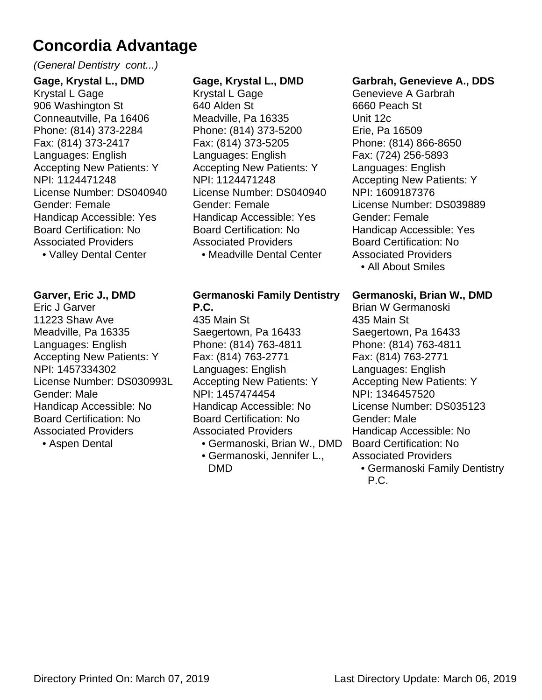#### (General Dentistry cont...)

**Gage, Krystal L., DMD** Krystal L Gage 906 Washington St Conneautville, Pa 16406 Phone: (814) 373-2284 Fax: (814) 373-2417 Languages: English Accepting New Patients: Y NPI: 1124471248 License Number: DS040940 Gender: Female Handicap Accessible: Yes Board Certification: No Associated Providers • Valley Dental Center

**Garver, Eric J., DMD** Eric J Garver 11223 Shaw Ave Meadville, Pa 16335 Languages: English Accepting New Patients: Y NPI: 1457334302 License Number: DS030993L Gender: Male Handicap Accessible: No Board Certification: No Associated Providers

• Aspen Dental

#### **Gage, Krystal L., DMD**

Krystal L Gage 640 Alden St Meadville, Pa 16335 Phone: (814) 373-5200 Fax: (814) 373-5205 Languages: English Accepting New Patients: Y NPI: 1124471248 License Number: DS040940 Gender: Female Handicap Accessible: Yes Board Certification: No Associated Providers • Meadville Dental Center

#### **Germanoski Family Dentistry P.C.**

435 Main St Saegertown, Pa 16433 Phone: (814) 763-4811 Fax: (814) 763-2771 Languages: English Accepting New Patients: Y NPI: 1457474454 Handicap Accessible: No Board Certification: No Associated Providers

- Germanoski, Brian W., DMD
- Germanoski, Jennifer L., DMD

#### **Garbrah, Genevieve A., DDS**

Genevieve A Garbrah 6660 Peach St Unit 12c Erie, Pa 16509 Phone: (814) 866-8650 Fax: (724) 256-5893 Languages: English Accepting New Patients: Y NPI: 1609187376 License Number: DS039889 Gender: Female Handicap Accessible: Yes Board Certification: No Associated Providers • All About Smiles

**Germanoski, Brian W., DMD**

Brian W Germanoski 435 Main St Saegertown, Pa 16433 Phone: (814) 763-4811 Fax: (814) 763-2771 Languages: English Accepting New Patients: Y NPI: 1346457520 License Number: DS035123 Gender: Male Handicap Accessible: No Board Certification: No Associated Providers

Germanoski Family Dentistry • P.C.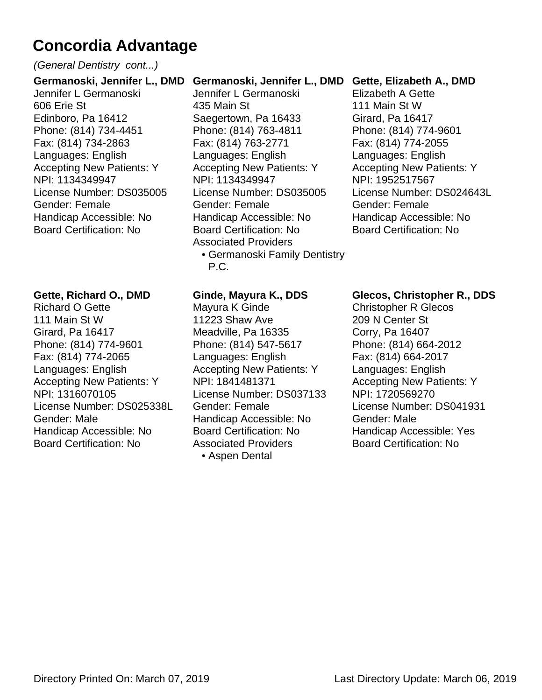#### (General Dentistry cont...)

**Germanoski, Jennifer L., DMD** Jennifer L Germanoski 606 Erie St Edinboro, Pa 16412 Phone: (814) 734-4451 Fax: (814) 734-2863 Languages: English Accepting New Patients: Y NPI: 1134349947 License Number: DS035005 Gender: Female Handicap Accessible: No Board Certification: No

#### **Gette, Richard O., DMD**

Richard O Gette 111 Main St W Girard, Pa 16417 Phone: (814) 774-9601 Fax: (814) 774-2065 Languages: English Accepting New Patients: Y NPI: 1316070105 License Number: DS025338L Gender: Male Handicap Accessible: No Board Certification: No

#### **Germanoski, Jennifer L., DMD**

- Jennifer L Germanoski 435 Main St Saegertown, Pa 16433 Phone: (814) 763-4811 Fax: (814) 763-2771 Languages: English Accepting New Patients: Y NPI: 1134349947 License Number: DS035005 Gender: Female Handicap Accessible: No Board Certification: No Associated Providers
	- Germanoski Family Dentistry P.C.

#### **Ginde, Mayura K., DDS**

Mayura K Ginde 11223 Shaw Ave Meadville, Pa 16335 Phone: (814) 547-5617 Languages: English Accepting New Patients: Y NPI: 1841481371 License Number: DS037133 Gender: Female Handicap Accessible: No Board Certification: No Associated Providers • Aspen Dental

#### **Gette, Elizabeth A., DMD**

Elizabeth A Gette 111 Main St W Girard, Pa 16417 Phone: (814) 774-9601 Fax: (814) 774-2055 Languages: English Accepting New Patients: Y NPI: 1952517567 License Number: DS024643L Gender: Female Handicap Accessible: No Board Certification: No

#### **Glecos, Christopher R., DDS**

Christopher R Glecos 209 N Center St Corry, Pa 16407 Phone: (814) 664-2012 Fax: (814) 664-2017 Languages: English Accepting New Patients: Y NPI: 1720569270 License Number: DS041931 Gender: Male Handicap Accessible: Yes Board Certification: No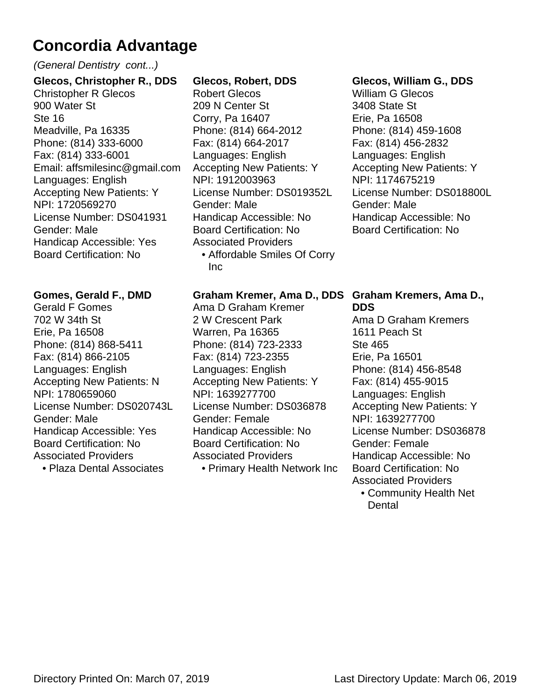#### (General Dentistry cont...)

**Glecos, Christopher R., DDS** Christopher R Glecos 900 Water St Ste 16 Meadville, Pa 16335 Phone: (814) 333-6000 Fax: (814) 333-6001 Email: affsmilesinc@gmail.com Languages: English Accepting New Patients: Y NPI: 1720569270 License Number: DS041931 Gender: Male Handicap Accessible: Yes Board Certification: No

#### **Gomes, Gerald F., DMD**

Gerald F Gomes 702 W 34th St Erie, Pa 16508 Phone: (814) 868-5411 Fax: (814) 866-2105 Languages: English Accepting New Patients: N NPI: 1780659060 License Number: DS020743L Gender: Male Handicap Accessible: Yes Board Certification: No Associated Providers

• Plaza Dental Associates

#### **Glecos, Robert, DDS**

Robert Glecos 209 N Center St Corry, Pa 16407 Phone: (814) 664-2012 Fax: (814) 664-2017 Languages: English Accepting New Patients: Y NPI: 1912003963 License Number: DS019352L Gender: Male Handicap Accessible: No Board Certification: No Associated Providers Affordable Smiles Of Corry • Inc

#### **Graham Kremer, Ama D., DDS Graham Kremers, Ama D.,**

Ama D Graham Kremer 2 W Crescent Park Warren, Pa 16365 Phone: (814) 723-2333 Fax: (814) 723-2355 Languages: English Accepting New Patients: Y NPI: 1639277700 License Number: DS036878 Gender: Female Handicap Accessible: No Board Certification: No Associated Providers • Primary Health Network Inc

#### **Glecos, William G., DDS**

William G Glecos 3408 State St Erie, Pa 16508 Phone: (814) 459-1608 Fax: (814) 456-2832 Languages: English Accepting New Patients: Y NPI: 1174675219 License Number: DS018800L Gender: Male Handicap Accessible: No Board Certification: No

## **DDS**

Ama D Graham Kremers 1611 Peach St Ste 465 Erie, Pa 16501 Phone: (814) 456-8548 Fax: (814) 455-9015 Languages: English Accepting New Patients: Y NPI: 1639277700 License Number: DS036878 Gender: Female Handicap Accessible: No Board Certification: No Associated Providers Community Health Net •

**Dental**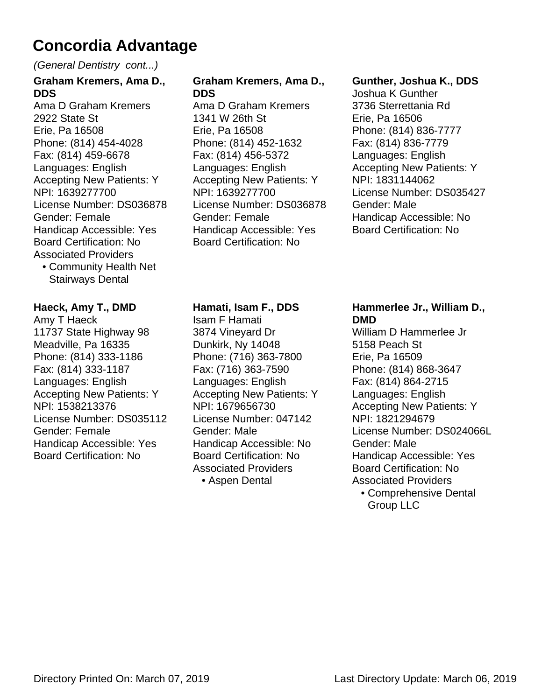(General Dentistry cont...)

#### **Graham Kremers, Ama D., DDS** Ama D Graham Kremers

2922 State St Erie, Pa 16508 Phone: (814) 454-4028 Fax: (814) 459-6678 Languages: English Accepting New Patients: Y NPI: 1639277700 License Number: DS036878 Gender: Female Handicap Accessible: Yes Board Certification: No Associated Providers

Community Health Net • Stairways Dental

#### **Haeck, Amy T., DMD**

Amy T Haeck 11737 State Highway 98 Meadville, Pa 16335 Phone: (814) 333-1186 Fax: (814) 333-1187 Languages: English Accepting New Patients: Y NPI: 1538213376 License Number: DS035112 Gender: Female Handicap Accessible: Yes Board Certification: No

#### **Graham Kremers, Ama D., DDS**

Ama D Graham Kremers 1341 W 26th St Erie, Pa 16508 Phone: (814) 452-1632 Fax: (814) 456-5372 Languages: English Accepting New Patients: Y NPI: 1639277700 License Number: DS036878 Gender: Female Handicap Accessible: Yes Board Certification: No

#### **Gunther, Joshua K., DDS**

Joshua K Gunther 3736 Sterrettania Rd Erie, Pa 16506 Phone: (814) 836-7777 Fax: (814) 836-7779 Languages: English Accepting New Patients: Y NPI: 1831144062 License Number: DS035427 Gender: Male Handicap Accessible: No Board Certification: No

#### **Hamati, Isam F., DDS**

Isam F Hamati 3874 Vineyard Dr Dunkirk, Ny 14048 Phone: (716) 363-7800 Fax: (716) 363-7590 Languages: English Accepting New Patients: Y NPI: 1679656730 License Number: 047142 Gender: Male Handicap Accessible: No Board Certification: No Associated Providers • Aspen Dental

#### **Hammerlee Jr., William D., DMD**

William D Hammerlee Jr 5158 Peach St Erie, Pa 16509 Phone: (814) 868-3647 Fax: (814) 864-2715 Languages: English Accepting New Patients: Y NPI: 1821294679 License Number: DS024066L Gender: Male Handicap Accessible: Yes Board Certification: No Associated Providers Comprehensive Dental • Group LLC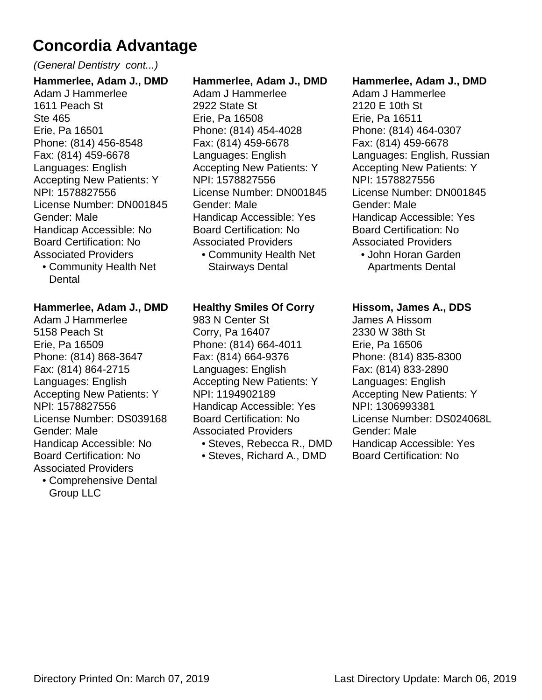#### (General Dentistry cont...)

**Hammerlee, Adam J., DMD** Adam J Hammerlee 1611 Peach St Ste 465 Erie, Pa 16501 Phone: (814) 456-8548 Fax: (814) 459-6678 Languages: English Accepting New Patients: Y NPI: 1578827556 License Number: DN001845 Gender: Male Handicap Accessible: No Board Certification: No Associated Providers

Community Health Net • **Dental** 

#### **Hammerlee, Adam J., DMD**

Adam J Hammerlee 5158 Peach St Erie, Pa 16509 Phone: (814) 868-3647 Fax: (814) 864-2715 Languages: English Accepting New Patients: Y NPI: 1578827556 License Number: DS039168 Gender: Male Handicap Accessible: No Board Certification: No Associated Providers

Comprehensive Dental • Group LLC

#### **Hammerlee, Adam J., DMD**

- Adam J Hammerlee 2922 State St Erie, Pa 16508 Phone: (814) 454-4028 Fax: (814) 459-6678 Languages: English Accepting New Patients: Y NPI: 1578827556 License Number: DN001845 Gender: Male Handicap Accessible: Yes Board Certification: No Associated Providers
	- Community Health Net Stairways Dental

#### **Healthy Smiles Of Corry**

983 N Center St Corry, Pa 16407 Phone: (814) 664-4011 Fax: (814) 664-9376 Languages: English Accepting New Patients: Y NPI: 1194902189 Handicap Accessible: Yes Board Certification: No Associated Providers

- Steves, Rebecca R., DMD
- Steves, Richard A., DMD

#### **Hammerlee, Adam J., DMD**

Adam J Hammerlee 2120 E 10th St Erie, Pa 16511 Phone: (814) 464-0307 Fax: (814) 459-6678 Languages: English, Russian Accepting New Patients: Y NPI: 1578827556 License Number: DN001845 Gender: Male Handicap Accessible: Yes Board Certification: No Associated Providers

John Horan Garden • Apartments Dental

#### **Hissom, James A., DDS**

James A Hissom 2330 W 38th St Erie, Pa 16506 Phone: (814) 835-8300 Fax: (814) 833-2890 Languages: English Accepting New Patients: Y NPI: 1306993381 License Number: DS024068L Gender: Male Handicap Accessible: Yes Board Certification: No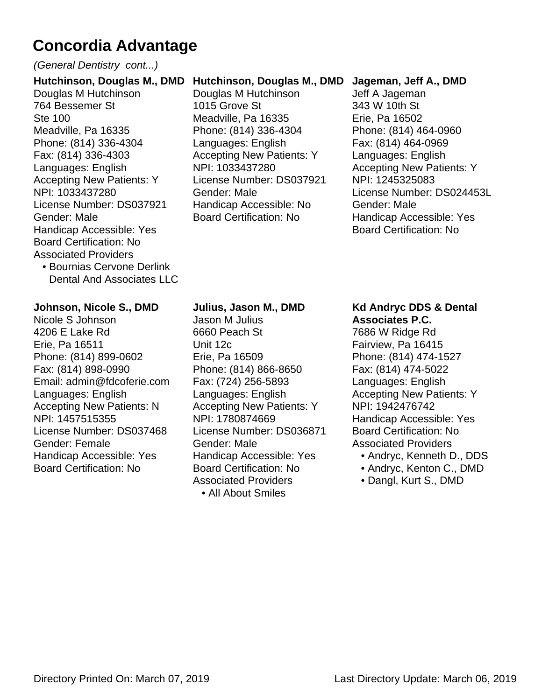#### (General Dentistry cont...)

**Hutchinson, Douglas M., DMD** Douglas M Hutchinson 764 Bessemer St Ste 100 Meadville, Pa 16335 Phone: (814) 336-4304 Fax: (814) 336-4303 Languages: English Accepting New Patients: Y NPI: 1033437280 License Number: DS037921 Gender: Male Handicap Accessible: Yes Board Certification: No Associated Providers

• Bournias Cervone Derlink Dental And Associates LLC

#### **Johnson, Nicole S., DMD**

Nicole S Johnson 4206 E Lake Rd Erie, Pa 16511 Phone: (814) 899-0602 Fax: (814) 898-0990 Email: admin@fdcoferie.com Languages: English Accepting New Patients: N NPI: 1457515355 License Number: DS037468 Gender: Female Handicap Accessible: Yes Board Certification: No

#### **Hutchinson, Douglas M., DMD**

Douglas M Hutchinson 1015 Grove St Meadville, Pa 16335 Phone: (814) 336-4304 Languages: English Accepting New Patients: Y NPI: 1033437280 License Number: DS037921 Gender: Male Handicap Accessible: No Board Certification: No

#### **Jageman, Jeff A., DMD**

Jeff A Jageman 343 W 10th St Erie, Pa 16502 Phone: (814) 464-0960 Fax: (814) 464-0969 Languages: English Accepting New Patients: Y NPI: 1245325083 License Number: DS024453L Gender: Male Handicap Accessible: Yes Board Certification: No

#### **Julius, Jason M., DMD**

Jason M Julius 6660 Peach St Unit 12c Erie, Pa 16509 Phone: (814) 866-8650 Fax: (724) 256-5893 Languages: English Accepting New Patients: Y NPI: 1780874669 License Number: DS036871 Gender: Male Handicap Accessible: Yes Board Certification: No Associated Providers • All About Smiles

#### **Kd Andryc DDS & Dental Associates P.C.**

7686 W Ridge Rd Fairview, Pa 16415 Phone: (814) 474-1527 Fax: (814) 474-5022 Languages: English Accepting New Patients: Y NPI: 1942476742 Handicap Accessible: Yes Board Certification: No Associated Providers

- Andryc, Kenneth D., DDS
- Andryc, Kenton C., DMD
- Dangl, Kurt S., DMD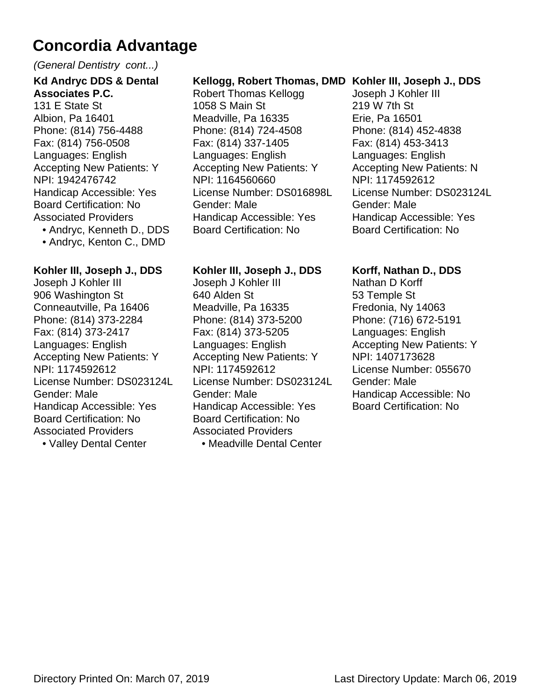#### (General Dentistry cont...)

#### **Kd Andryc DDS & Dental Associates P.C.** 131 E State St Albion, Pa 16401 Phone: (814) 756-4488 Fax: (814) 756-0508 Languages: English Accepting New Patients: Y NPI: 1942476742 Handicap Accessible: Yes Board Certification: No Associated Providers

- Andryc, Kenneth D., DDS
- Andryc, Kenton C., DMD

#### **Kohler III, Joseph J., DDS**

Joseph J Kohler III 906 Washington St Conneautville, Pa 16406 Phone: (814) 373-2284 Fax: (814) 373-2417 Languages: English Accepting New Patients: Y NPI: 1174592612 License Number: DS023124L Gender: Male Handicap Accessible: Yes Board Certification: No Associated Providers

• Valley Dental Center

#### **Kellogg, Robert Thomas, DMD Kohler III, Joseph J., DDS**

Robert Thomas Kellogg 1058 S Main St Meadville, Pa 16335 Phone: (814) 724-4508 Fax: (814) 337-1405 Languages: English Accepting New Patients: Y NPI: 1164560660 License Number: DS016898L Gender: Male Handicap Accessible: Yes Board Certification: No

#### **Kohler III, Joseph J., DDS**

Joseph J Kohler III 640 Alden St Meadville, Pa 16335 Phone: (814) 373-5200 Fax: (814) 373-5205 Languages: English Accepting New Patients: Y NPI: 1174592612 License Number: DS023124L Gender: Male Handicap Accessible: Yes Board Certification: No Associated Providers

• Meadville Dental Center

Joseph J Kohler III 219 W 7th St Erie, Pa 16501 Phone: (814) 452-4838 Fax: (814) 453-3413 Languages: English Accepting New Patients: N NPI: 1174592612 License Number: DS023124L Gender: Male Handicap Accessible: Yes Board Certification: No

#### **Korff, Nathan D., DDS**

Nathan D Korff 53 Temple St Fredonia, Ny 14063 Phone: (716) 672-5191 Languages: English Accepting New Patients: Y NPI: 1407173628 License Number: 055670 Gender: Male Handicap Accessible: No Board Certification: No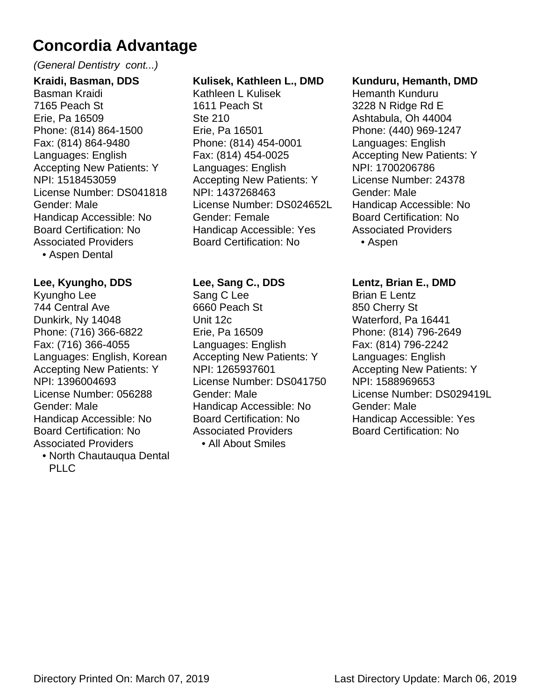#### (General Dentistry cont...)

**Kraidi, Basman, DDS** Basman Kraidi 7165 Peach St Erie, Pa 16509 Phone: (814) 864-1500 Fax: (814) 864-9480 Languages: English Accepting New Patients: Y NPI: 1518453059 License Number: DS041818 Gender: Male Handicap Accessible: No Board Certification: No Associated Providers

• Aspen Dental

#### **Lee, Kyungho, DDS**

Kyungho Lee 744 Central Ave Dunkirk, Ny 14048 Phone: (716) 366-6822 Fax: (716) 366-4055 Languages: English, Korean Accepting New Patients: Y NPI: 1396004693 License Number: 056288 Gender: Male Handicap Accessible: No Board Certification: No Associated Providers

North Chautauqua Dental • PLLC

#### **Kulisek, Kathleen L., DMD**

Kathleen L Kulisek 1611 Peach St Ste 210 Erie, Pa 16501 Phone: (814) 454-0001 Fax: (814) 454-0025 Languages: English Accepting New Patients: Y NPI: 1437268463 License Number: DS024652L Gender: Female Handicap Accessible: Yes Board Certification: No

#### **Lee, Sang C., DDS**

Sang C Lee 6660 Peach St Unit 12c Erie, Pa 16509 Languages: English Accepting New Patients: Y NPI: 1265937601 License Number: DS041750 Gender: Male Handicap Accessible: No Board Certification: No Associated Providers • All About Smiles

#### **Kunduru, Hemanth, DMD**

Hemanth Kunduru 3228 N Ridge Rd E Ashtabula, Oh 44004 Phone: (440) 969-1247 Languages: English Accepting New Patients: Y NPI: 1700206786 License Number: 24378 Gender: Male Handicap Accessible: No Board Certification: No Associated Providers • Aspen

#### **Lentz, Brian E., DMD** Brian E Lentz 850 Cherry St Waterford, Pa 16441 Phone: (814) 796-2649 Fax: (814) 796-2242 Languages: English Accepting New Patients: Y NPI: 1588969653 License Number: DS029419L Gender: Male Handicap Accessible: Yes Board Certification: No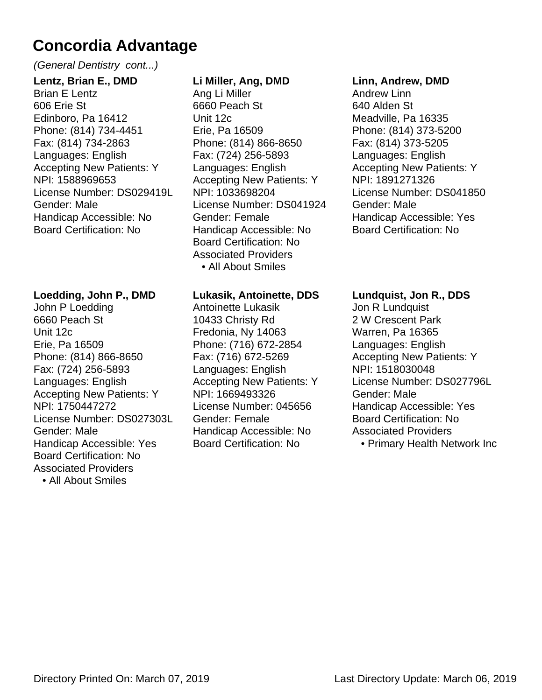#### (General Dentistry cont...)

**Lentz, Brian E., DMD** Brian E Lentz 606 Erie St Edinboro, Pa 16412 Phone: (814) 734-4451 Fax: (814) 734-2863 Languages: English Accepting New Patients: Y NPI: 1588969653 License Number: DS029419L Gender: Male Handicap Accessible: No Board Certification: No

#### **Loedding, John P., DMD**

John P Loedding 6660 Peach St Unit 12c Erie, Pa 16509 Phone: (814) 866-8650 Fax: (724) 256-5893 Languages: English Accepting New Patients: Y NPI: 1750447272 License Number: DS027303L Gender: Male Handicap Accessible: Yes Board Certification: No Associated Providers • All About Smiles

#### **Li Miller, Ang, DMD**

Ang Li Miller 6660 Peach St Unit 12c Erie, Pa 16509 Phone: (814) 866-8650 Fax: (724) 256-5893 Languages: English Accepting New Patients: Y NPI: 1033698204 License Number: DS041924 Gender: Female Handicap Accessible: No Board Certification: No Associated Providers • All About Smiles

#### **Lukasik, Antoinette, DDS**

Antoinette Lukasik 10433 Christy Rd Fredonia, Ny 14063 Phone: (716) 672-2854 Fax: (716) 672-5269 Languages: English Accepting New Patients: Y NPI: 1669493326 License Number: 045656 Gender: Female Handicap Accessible: No Board Certification: No

#### **Linn, Andrew, DMD**

Andrew Linn 640 Alden St Meadville, Pa 16335 Phone: (814) 373-5200 Fax: (814) 373-5205 Languages: English Accepting New Patients: Y NPI: 1891271326 License Number: DS041850 Gender: Male Handicap Accessible: Yes Board Certification: No

#### **Lundquist, Jon R., DDS** Jon R Lundquist

2 W Crescent Park Warren, Pa 16365 Languages: English Accepting New Patients: Y NPI: 1518030048 License Number: DS027796L Gender: Male Handicap Accessible: Yes Board Certification: No Associated Providers

• Primary Health Network Inc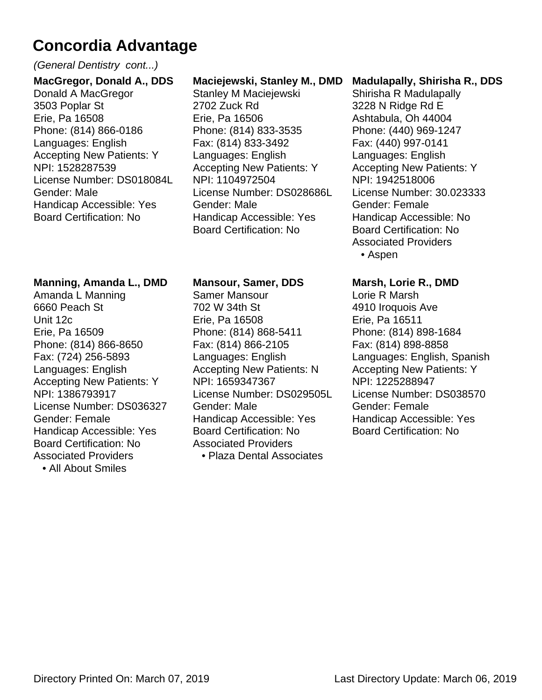#### (General Dentistry cont...)

**MacGregor, Donald A., DDS** Donald A MacGregor 3503 Poplar St Erie, Pa 16508 Phone: (814) 866-0186 Languages: English Accepting New Patients: Y NPI: 1528287539 License Number: DS018084L Gender: Male Handicap Accessible: Yes Board Certification: No

#### **Manning, Amanda L., DMD**

Amanda L Manning 6660 Peach St Unit 12c Erie, Pa 16509 Phone: (814) 866-8650 Fax: (724) 256-5893 Languages: English Accepting New Patients: Y NPI: 1386793917 License Number: DS036327 Gender: Female Handicap Accessible: Yes Board Certification: No Associated Providers

• All About Smiles

#### **Maciejewski, Stanley M., DMD**

Stanley M Maciejewski 2702 Zuck Rd Erie, Pa 16506 Phone: (814) 833-3535 Fax: (814) 833-3492 Languages: English Accepting New Patients: Y NPI: 1104972504 License Number: DS028686L Gender: Male Handicap Accessible: Yes Board Certification: No

#### **Mansour, Samer, DDS**

Samer Mansour 702 W 34th St Erie, Pa 16508 Phone: (814) 868-5411 Fax: (814) 866-2105 Languages: English Accepting New Patients: N NPI: 1659347367 License Number: DS029505L Gender: Male Handicap Accessible: Yes Board Certification: No Associated Providers • Plaza Dental Associates

#### **Madulapally, Shirisha R., DDS**

Shirisha R Madulapally 3228 N Ridge Rd E Ashtabula, Oh 44004 Phone: (440) 969-1247 Fax: (440) 997-0141 Languages: English Accepting New Patients: Y NPI: 1942518006 License Number: 30.023333 Gender: Female Handicap Accessible: No Board Certification: No Associated Providers • Aspen

#### **Marsh, Lorie R., DMD**

Lorie R Marsh 4910 Iroquois Ave Erie, Pa 16511 Phone: (814) 898-1684 Fax: (814) 898-8858 Languages: English, Spanish Accepting New Patients: Y NPI: 1225288947 License Number: DS038570 Gender: Female Handicap Accessible: Yes Board Certification: No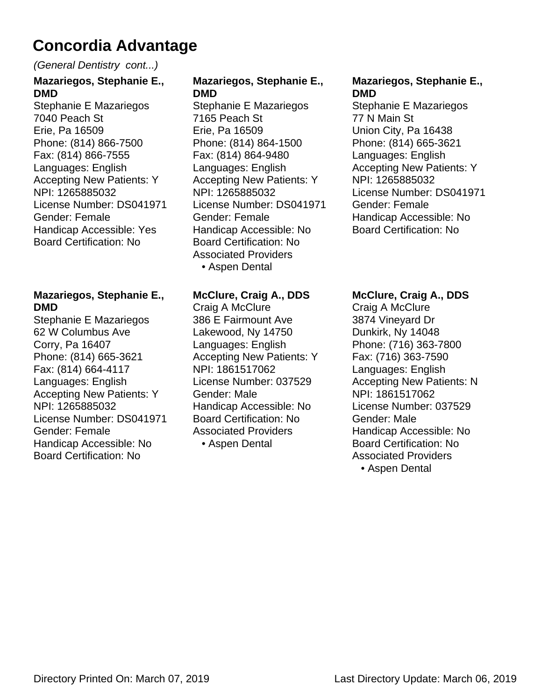#### (General Dentistry cont...)

### **Mazariegos, Stephanie E., DMD** Stephanie E Mazariegos

7040 Peach St Erie, Pa 16509 Phone: (814) 866-7500 Fax: (814) 866-7555 Languages: English Accepting New Patients: Y NPI: 1265885032 License Number: DS041971 Gender: Female Handicap Accessible: Yes Board Certification: No

#### **Mazariegos, Stephanie E., DMD**

Stephanie E Mazariegos 62 W Columbus Ave Corry, Pa 16407 Phone: (814) 665-3621 Fax: (814) 664-4117 Languages: English Accepting New Patients: Y NPI: 1265885032 License Number: DS041971 Gender: Female Handicap Accessible: No Board Certification: No

#### **Mazariegos, Stephanie E., DMD**

Stephanie E Mazariegos 7165 Peach St Erie, Pa 16509 Phone: (814) 864-1500 Fax: (814) 864-9480 Languages: English Accepting New Patients: Y NPI: 1265885032 License Number: DS041971 Gender: Female Handicap Accessible: No Board Certification: No Associated Providers • Aspen Dental

#### **McClure, Craig A., DDS**

Craig A McClure 386 E Fairmount Ave Lakewood, Ny 14750 Languages: English Accepting New Patients: Y NPI: 1861517062 License Number: 037529 Gender: Male Handicap Accessible: No Board Certification: No Associated Providers • Aspen Dental

#### **Mazariegos, Stephanie E., DMD**

Stephanie E Mazariegos 77 N Main St Union City, Pa 16438 Phone: (814) 665-3621 Languages: English Accepting New Patients: Y NPI: 1265885032 License Number: DS041971 Gender: Female Handicap Accessible: No Board Certification: No

#### **McClure, Craig A., DDS**

Craig A McClure 3874 Vineyard Dr Dunkirk, Ny 14048 Phone: (716) 363-7800 Fax: (716) 363-7590 Languages: English Accepting New Patients: N NPI: 1861517062 License Number: 037529 Gender: Male Handicap Accessible: No Board Certification: No Associated Providers

• Aspen Dental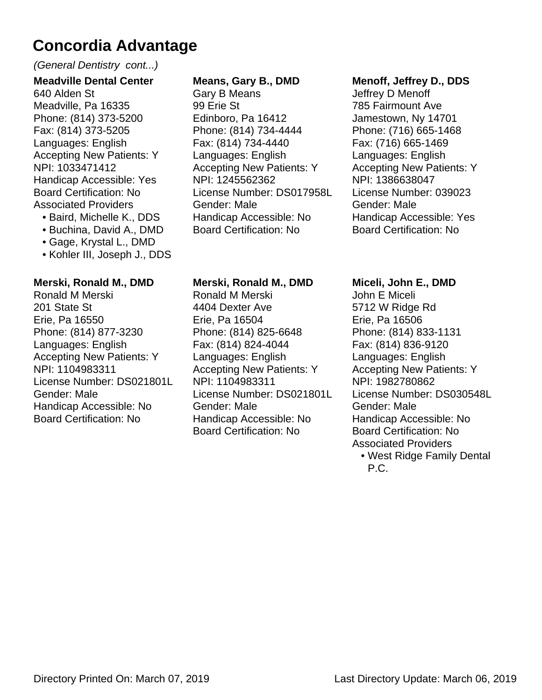#### (General Dentistry cont...)

**Meadville Dental Center** 640 Alden St Meadville, Pa 16335 Phone: (814) 373-5200 Fax: (814) 373-5205 Languages: English Accepting New Patients: Y NPI: 1033471412 Handicap Accessible: Yes Board Certification: No Associated Providers

- Baird, Michelle K., DDS
- Buchina, David A., DMD
- Gage, Krystal L., DMD
- Kohler III, Joseph J., DDS

#### **Merski, Ronald M., DMD**

Ronald M Merski 201 State St Erie, Pa 16550 Phone: (814) 877-3230 Languages: English Accepting New Patients: Y NPI: 1104983311 License Number: DS021801L Gender: Male Handicap Accessible: No Board Certification: No

#### **Means, Gary B., DMD**

Gary B Means 99 Erie St Edinboro, Pa 16412 Phone: (814) 734-4444 Fax: (814) 734-4440 Languages: English Accepting New Patients: Y NPI: 1245562362 License Number: DS017958L Gender: Male Handicap Accessible: No Board Certification: No

#### **Merski, Ronald M., DMD**

Ronald M Merski 4404 Dexter Ave Erie, Pa 16504 Phone: (814) 825-6648 Fax: (814) 824-4044 Languages: English Accepting New Patients: Y NPI: 1104983311 License Number: DS021801L Gender: Male Handicap Accessible: No Board Certification: No

#### **Menoff, Jeffrey D., DDS**

Jeffrey D Menoff 785 Fairmount Ave Jamestown, Ny 14701 Phone: (716) 665-1468 Fax: (716) 665-1469 Languages: English Accepting New Patients: Y NPI: 1386638047 License Number: 039023 Gender: Male Handicap Accessible: Yes Board Certification: No

#### **Miceli, John E., DMD**

John E Miceli 5712 W Ridge Rd Erie, Pa 16506 Phone: (814) 833-1131 Fax: (814) 836-9120 Languages: English Accepting New Patients: Y NPI: 1982780862 License Number: DS030548L Gender: Male Handicap Accessible: No Board Certification: No Associated Providers • West Ridge Family Dental

P.C.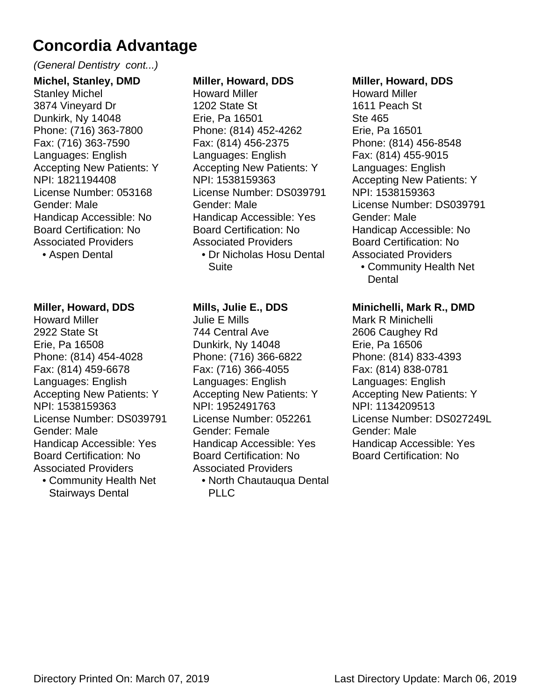#### (General Dentistry cont...)

**Michel, Stanley, DMD** Stanley Michel 3874 Vineyard Dr Dunkirk, Ny 14048 Phone: (716) 363-7800 Fax: (716) 363-7590 Languages: English Accepting New Patients: Y NPI: 1821194408 License Number: 053168 Gender: Male Handicap Accessible: No Board Certification: No Associated Providers

• Aspen Dental

#### **Miller, Howard, DDS**

Howard Miller 2922 State St Erie, Pa 16508 Phone: (814) 454-4028 Fax: (814) 459-6678 Languages: English Accepting New Patients: Y NPI: 1538159363 License Number: DS039791 Gender: Male Handicap Accessible: Yes Board Certification: No Associated Providers Community Health Net •

Stairways Dental

#### **Miller, Howard, DDS**

Howard Miller 1202 State St Erie, Pa 16501 Phone: (814) 452-4262 Fax: (814) 456-2375 Languages: English Accepting New Patients: Y NPI: 1538159363 License Number: DS039791 Gender: Male Handicap Accessible: Yes Board Certification: No Associated Providers Dr Nicholas Hosu Dental • Suite

#### **Mills, Julie E., DDS**

Julie E Mills 744 Central Ave Dunkirk, Ny 14048 Phone: (716) 366-6822 Fax: (716) 366-4055 Languages: English Accepting New Patients: Y NPI: 1952491763 License Number: 052261 Gender: Female Handicap Accessible: Yes Board Certification: No Associated Providers

North Chautauqua Dental • PLIC

#### **Miller, Howard, DDS**

Howard Miller 1611 Peach St Ste 465 Erie, Pa 16501 Phone: (814) 456-8548 Fax: (814) 455-9015 Languages: English Accepting New Patients: Y NPI: 1538159363 License Number: DS039791 Gender: Male Handicap Accessible: No Board Certification: No Associated Providers

Community Health Net • Dental

#### **Minichelli, Mark R., DMD**

Mark R Minichelli 2606 Caughey Rd Erie, Pa 16506 Phone: (814) 833-4393 Fax: (814) 838-0781 Languages: English Accepting New Patients: Y NPI: 1134209513 License Number: DS027249L Gender: Male Handicap Accessible: Yes Board Certification: No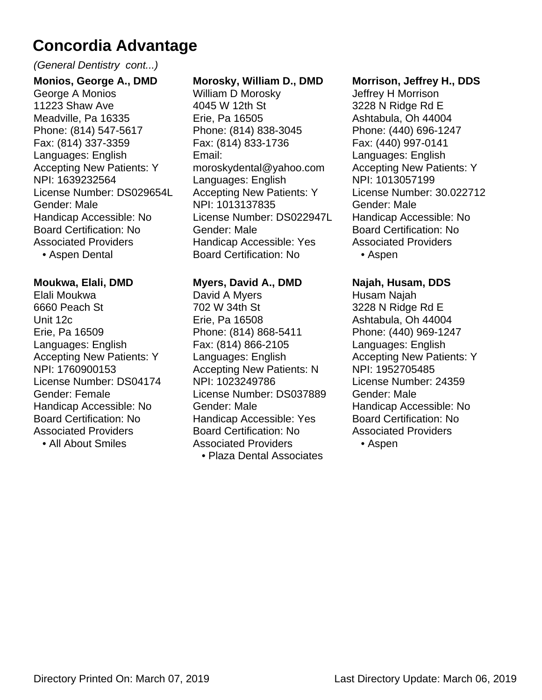#### (General Dentistry cont...)

**Monios, George A., DMD** George A Monios 11223 Shaw Ave Meadville, Pa 16335 Phone: (814) 547-5617 Fax: (814) 337-3359 Languages: English Accepting New Patients: Y NPI: 1639232564 License Number: DS029654L Gender: Male Handicap Accessible: No Board Certification: No Associated Providers

• Aspen Dental

#### **Moukwa, Elali, DMD**

Elali Moukwa 6660 Peach St Unit 12c Erie, Pa 16509 Languages: English Accepting New Patients: Y NPI: 1760900153 License Number: DS04174 Gender: Female Handicap Accessible: No Board Certification: No Associated Providers

• All About Smiles

#### **Morosky, William D., DMD**

William D Morosky 4045 W 12th St Erie, Pa 16505 Phone: (814) 838-3045 Fax: (814) 833-1736 Email: moroskydental@yahoo.com Languages: English Accepting New Patients: Y NPI: 1013137835 License Number: DS022947L Gender: Male Handicap Accessible: Yes Board Certification: No

#### **Myers, David A., DMD**

David A Myers 702 W 34th St Erie, Pa 16508 Phone: (814) 868-5411 Fax: (814) 866-2105 Languages: English Accepting New Patients: N NPI: 1023249786 License Number: DS037889 Gender: Male Handicap Accessible: Yes Board Certification: No Associated Providers • Plaza Dental Associates

#### **Morrison, Jeffrey H., DDS**

Jeffrey H Morrison 3228 N Ridge Rd E Ashtabula, Oh 44004 Phone: (440) 696-1247 Fax: (440) 997-0141 Languages: English Accepting New Patients: Y NPI: 1013057199 License Number: 30.022712 Gender: Male Handicap Accessible: No Board Certification: No Associated Providers • Aspen

**Najah, Husam, DDS** Husam Najah 3228 N Ridge Rd E Ashtabula, Oh 44004 Phone: (440) 969-1247 Languages: English Accepting New Patients: Y NPI: 1952705485 License Number: 24359 Gender: Male Handicap Accessible: No Board Certification: No Associated Providers

• Aspen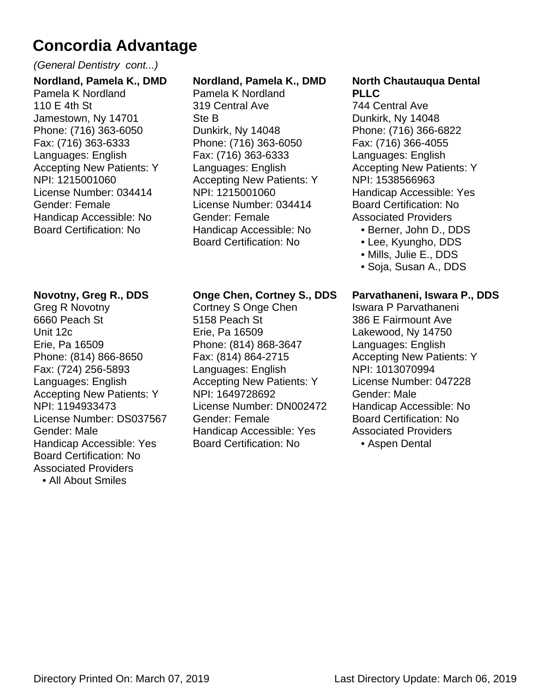#### (General Dentistry cont...)

**Nordland, Pamela K., DMD** Pamela K Nordland 110 E 4th St Jamestown, Ny 14701 Phone: (716) 363-6050 Fax: (716) 363-6333 Languages: English Accepting New Patients: Y NPI: 1215001060 License Number: 034414 Gender: Female Handicap Accessible: No Board Certification: No

#### **Novotny, Greg R., DDS**

Greg R Novotny 6660 Peach St Unit 12c Erie, Pa 16509 Phone: (814) 866-8650 Fax: (724) 256-5893 Languages: English Accepting New Patients: Y NPI: 1194933473 License Number: DS037567 Gender: Male Handicap Accessible: Yes Board Certification: No Associated Providers • All About Smiles

#### **Nordland, Pamela K., DMD**

Pamela K Nordland 319 Central Ave Ste B Dunkirk, Ny 14048 Phone: (716) 363-6050 Fax: (716) 363-6333 Languages: English Accepting New Patients: Y NPI: 1215001060 License Number: 034414 Gender: Female Handicap Accessible: No Board Certification: No

#### **Onge Chen, Cortney S., DDS**

Cortney S Onge Chen 5158 Peach St Erie, Pa 16509 Phone: (814) 868-3647 Fax: (814) 864-2715 Languages: English Accepting New Patients: Y NPI: 1649728692 License Number: DN002472 Gender: Female Handicap Accessible: Yes Board Certification: No

#### **North Chautauqua Dental PLLC**

744 Central Ave Dunkirk, Ny 14048 Phone: (716) 366-6822 Fax: (716) 366-4055 Languages: English Accepting New Patients: Y NPI: 1538566963 Handicap Accessible: Yes Board Certification: No Associated Providers

- Berner, John D., DDS
- Lee, Kyungho, DDS
- Mills, Julie E., DDS
- Soja, Susan A., DDS

#### **Parvathaneni, Iswara P., DDS**

Iswara P Parvathaneni 386 E Fairmount Ave Lakewood, Ny 14750 Languages: English Accepting New Patients: Y NPI: 1013070994 License Number: 047228 Gender: Male Handicap Accessible: No Board Certification: No Associated Providers • Aspen Dental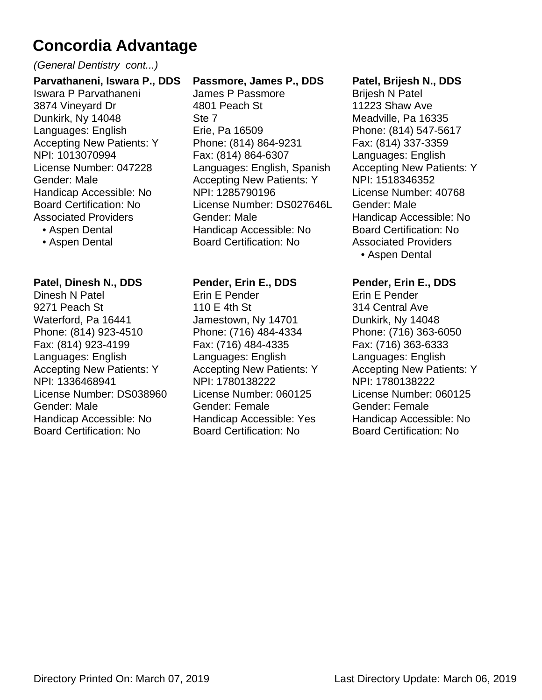#### (General Dentistry cont...)

**Parvathaneni, Iswara P., DDS** Iswara P Parvathaneni 3874 Vineyard Dr Dunkirk, Ny 14048 Languages: English Accepting New Patients: Y NPI: 1013070994 License Number: 047228 Gender: Male Handicap Accessible: No Board Certification: No Associated Providers

• Aspen Dental

• Aspen Dental

#### **Patel, Dinesh N., DDS**

Dinesh N Patel 9271 Peach St Waterford, Pa 16441 Phone: (814) 923-4510 Fax: (814) 923-4199 Languages: English Accepting New Patients: Y NPI: 1336468941 License Number: DS038960 Gender: Male Handicap Accessible: No Board Certification: No

#### **Passmore, James P., DDS**

James P Passmore 4801 Peach St Ste 7 Erie, Pa 16509 Phone: (814) 864-9231 Fax: (814) 864-6307 Languages: English, Spanish Accepting New Patients: Y NPI: 1285790196 License Number: DS027646L Gender: Male Handicap Accessible: No Board Certification: No

#### **Pender, Erin E., DDS**

Erin E Pender 110 E 4th St Jamestown, Ny 14701 Phone: (716) 484-4334 Fax: (716) 484-4335 Languages: English Accepting New Patients: Y NPI: 1780138222 License Number: 060125 Gender: Female Handicap Accessible: Yes Board Certification: No

#### **Patel, Brijesh N., DDS**

Brijesh N Patel 11223 Shaw Ave Meadville, Pa 16335 Phone: (814) 547-5617 Fax: (814) 337-3359 Languages: English Accepting New Patients: Y NPI: 1518346352 License Number: 40768 Gender: Male Handicap Accessible: No Board Certification: No Associated Providers • Aspen Dental

#### **Pender, Erin E., DDS**

Erin E Pender 314 Central Ave Dunkirk, Ny 14048 Phone: (716) 363-6050 Fax: (716) 363-6333 Languages: English Accepting New Patients: Y NPI: 1780138222 License Number: 060125 Gender: Female Handicap Accessible: No Board Certification: No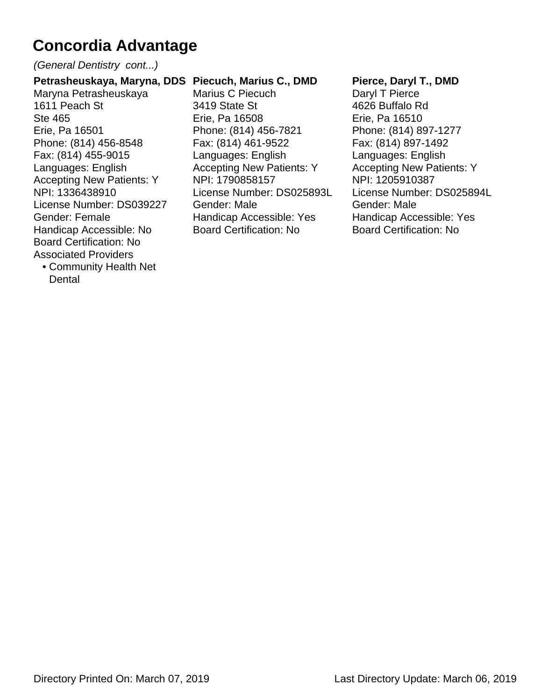(General Dentistry cont...)

#### **Petrasheuskaya, Maryna, DDS Piecuch, Marius C., DMD**

Maryna Petrasheuskaya 1611 Peach St Ste 465 Erie, Pa 16501 Phone: (814) 456-8548 Fax: (814) 455-9015 Languages: English Accepting New Patients: Y NPI: 1336438910 License Number: DS039227 Gender: Female Handicap Accessible: No Board Certification: No Associated Providers

Community Health Net • **Dental** 

Marius C Piecuch 3419 State St Erie, Pa 16508 Phone: (814) 456-7821 Fax: (814) 461-9522 Languages: English Accepting New Patients: Y NPI: 1790858157 License Number: DS025893L Gender: Male Handicap Accessible: Yes Board Certification: No

#### **Pierce, Daryl T., DMD**

Daryl T Pierce 4626 Buffalo Rd Erie, Pa 16510 Phone: (814) 897-1277 Fax: (814) 897-1492 Languages: English Accepting New Patients: Y NPI: 1205910387 License Number: DS025894L Gender: Male Handicap Accessible: Yes Board Certification: No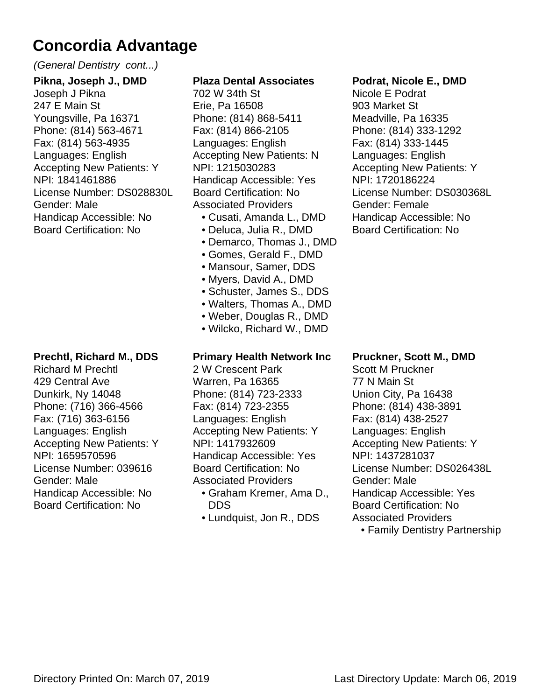#### (General Dentistry cont...)

**Pikna, Joseph J., DMD** Joseph J Pikna 247 E Main St Youngsville, Pa 16371 Phone: (814) 563-4671 Fax: (814) 563-4935 Languages: English Accepting New Patients: Y NPI: 1841461886 License Number: DS028830L Gender: Male Handicap Accessible: No Board Certification: No

#### **Prechtl, Richard M., DDS**

Richard M Prechtl 429 Central Ave Dunkirk, Ny 14048 Phone: (716) 366-4566 Fax: (716) 363-6156 Languages: English Accepting New Patients: Y NPI: 1659570596 License Number: 039616 Gender: Male Handicap Accessible: No Board Certification: No

#### **Plaza Dental Associates**

702 W 34th St Erie, Pa 16508 Phone: (814) 868-5411 Fax: (814) 866-2105 Languages: English Accepting New Patients: N NPI: 1215030283 Handicap Accessible: Yes Board Certification: No Associated Providers

- Cusati, Amanda L., DMD
- Deluca, Julia R., DMD
- Demarco, Thomas J., DMD
- Gomes, Gerald F., DMD
- Mansour, Samer, DDS
- Myers, David A., DMD
- Schuster, James S., DDS
- Walters, Thomas A., DMD
- Weber, Douglas R., DMD • Wilcko, Richard W., DMD

#### **Primary Health Network Inc**

2 W Crescent Park Warren, Pa 16365 Phone: (814) 723-2333 Fax: (814) 723-2355 Languages: English Accepting New Patients: Y NPI: 1417932609 Handicap Accessible: Yes Board Certification: No Associated Providers

- Graham Kremer, Ama D., DDS
- Lundquist, Jon R., DDS

#### **Podrat, Nicole E., DMD**

Nicole E Podrat 903 Market St Meadville, Pa 16335 Phone: (814) 333-1292 Fax: (814) 333-1445 Languages: English Accepting New Patients: Y NPI: 1720186224 License Number: DS030368L Gender: Female Handicap Accessible: No Board Certification: No

#### **Pruckner, Scott M., DMD**

Scott M Pruckner 77 N Main St Union City, Pa 16438 Phone: (814) 438-3891 Fax: (814) 438-2527 Languages: English Accepting New Patients: Y NPI: 1437281037 License Number: DS026438L Gender: Male Handicap Accessible: Yes Board Certification: No Associated Providers

• Family Dentistry Partnership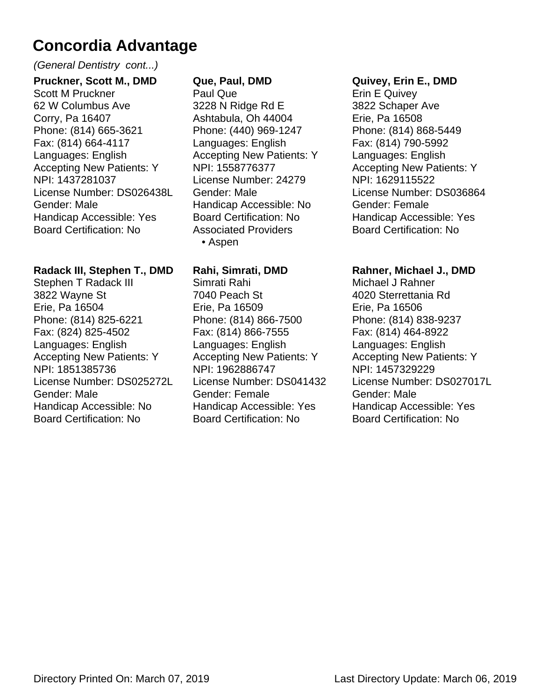#### (General Dentistry cont...)

**Pruckner, Scott M., DMD** Scott M Pruckner 62 W Columbus Ave Corry, Pa 16407 Phone: (814) 665-3621 Fax: (814) 664-4117 Languages: English Accepting New Patients: Y NPI: 1437281037 License Number: DS026438L Gender: Male Handicap Accessible: Yes Board Certification: No

#### **Radack III, Stephen T., DMD**

Stephen T Radack III 3822 Wayne St Erie, Pa 16504 Phone: (814) 825-6221 Fax: (824) 825-4502 Languages: English Accepting New Patients: Y NPI: 1851385736 License Number: DS025272L Gender: Male Handicap Accessible: No Board Certification: No

#### **Que, Paul, DMD**

Paul Que 3228 N Ridge Rd E Ashtabula, Oh 44004 Phone: (440) 969-1247 Languages: English Accepting New Patients: Y NPI: 1558776377 License Number: 24279 Gender: Male Handicap Accessible: No Board Certification: No Associated Providers • Aspen

#### **Rahi, Simrati, DMD**

Simrati Rahi 7040 Peach St Erie, Pa 16509 Phone: (814) 866-7500 Fax: (814) 866-7555 Languages: English Accepting New Patients: Y NPI: 1962886747 License Number: DS041432 Gender: Female Handicap Accessible: Yes Board Certification: No

#### **Quivey, Erin E., DMD**

Erin E Quivey 3822 Schaper Ave Erie, Pa 16508 Phone: (814) 868-5449 Fax: (814) 790-5992 Languages: English Accepting New Patients: Y NPI: 1629115522 License Number: DS036864 Gender: Female Handicap Accessible: Yes Board Certification: No

#### **Rahner, Michael J., DMD**

Michael J Rahner 4020 Sterrettania Rd Erie, Pa 16506 Phone: (814) 838-9237 Fax: (814) 464-8922 Languages: English Accepting New Patients: Y NPI: 1457329229 License Number: DS027017L Gender: Male Handicap Accessible: Yes Board Certification: No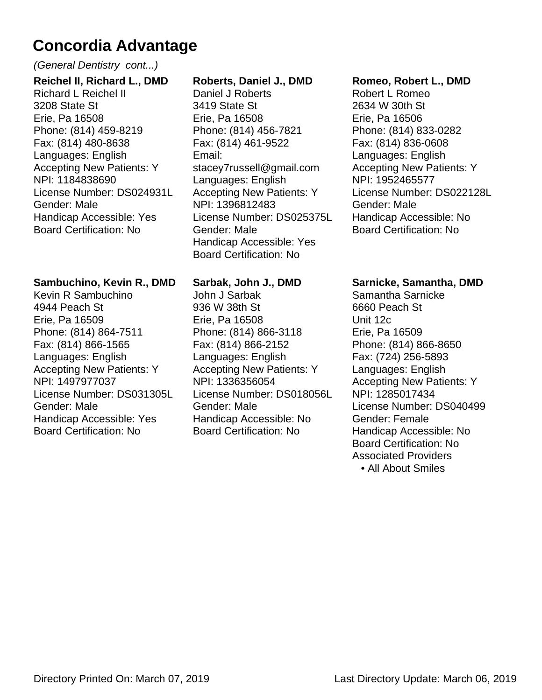(General Dentistry cont...)

**Reichel II, Richard L., DMD** Richard L Reichel II 3208 State St Erie, Pa 16508 Phone: (814) 459-8219 Fax: (814) 480-8638 Languages: English Accepting New Patients: Y NPI: 1184838690 License Number: DS024931L Gender: Male Handicap Accessible: Yes Board Certification: No

#### **Sambuchino, Kevin R., DMD**

Kevin R Sambuchino 4944 Peach St Erie, Pa 16509 Phone: (814) 864-7511 Fax: (814) 866-1565 Languages: English Accepting New Patients: Y NPI: 1497977037 License Number: DS031305L Gender: Male Handicap Accessible: Yes Board Certification: No

#### **Roberts, Daniel J., DMD**

Daniel J Roberts 3419 State St Erie, Pa 16508 Phone: (814) 456-7821 Fax: (814) 461-9522 Email: stacey7russell@gmail.com Languages: English Accepting New Patients: Y NPI: 1396812483 License Number: DS025375L Gender: Male Handicap Accessible: Yes Board Certification: No

#### **Sarbak, John J., DMD**

John J Sarbak 936 W 38th St Erie, Pa 16508 Phone: (814) 866-3118 Fax: (814) 866-2152 Languages: English Accepting New Patients: Y NPI: 1336356054 License Number: DS018056L Gender: Male Handicap Accessible: No Board Certification: No

#### **Romeo, Robert L., DMD**

Robert L Romeo 2634 W 30th St Erie, Pa 16506 Phone: (814) 833-0282 Fax: (814) 836-0608 Languages: English Accepting New Patients: Y NPI: 1952465577 License Number: DS022128L Gender: Male Handicap Accessible: No Board Certification: No

#### **Sarnicke, Samantha, DMD**

Samantha Sarnicke 6660 Peach St Unit 12c Erie, Pa 16509 Phone: (814) 866-8650 Fax: (724) 256-5893 Languages: English Accepting New Patients: Y NPI: 1285017434 License Number: DS040499 Gender: Female Handicap Accessible: No Board Certification: No Associated Providers • All About Smiles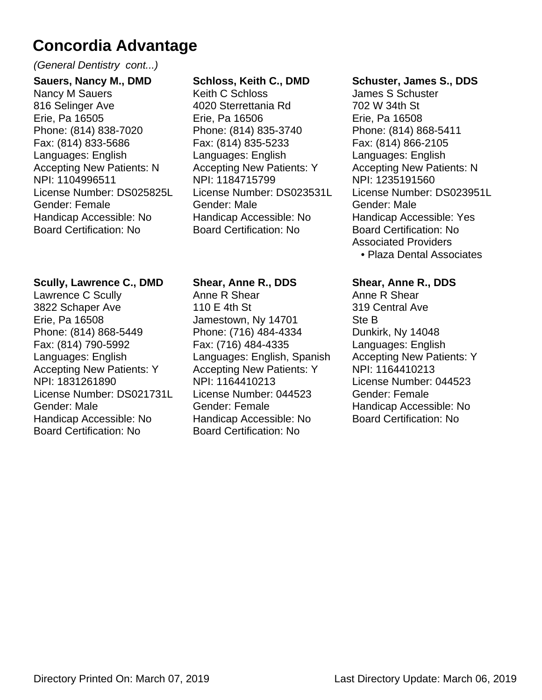#### (General Dentistry cont...)

**Sauers, Nancy M., DMD** Nancy M Sauers 816 Selinger Ave Erie, Pa 16505 Phone: (814) 838-7020 Fax: (814) 833-5686 Languages: English Accepting New Patients: N NPI: 1104996511 License Number: DS025825L Gender: Female Handicap Accessible: No Board Certification: No

#### **Scully, Lawrence C., DMD**

Lawrence C Scully 3822 Schaper Ave Erie, Pa 16508 Phone: (814) 868-5449 Fax: (814) 790-5992 Languages: English Accepting New Patients: Y NPI: 1831261890 License Number: DS021731L Gender: Male Handicap Accessible: No Board Certification: No

#### **Schloss, Keith C., DMD**

Keith C Schloss 4020 Sterrettania Rd Erie, Pa 16506 Phone: (814) 835-3740 Fax: (814) 835-5233 Languages: English Accepting New Patients: Y NPI: 1184715799 License Number: DS023531L Gender: Male Handicap Accessible: No Board Certification: No

#### **Shear, Anne R., DDS**

Anne R Shear 110 E 4th St Jamestown, Ny 14701 Phone: (716) 484-4334 Fax: (716) 484-4335 Languages: English, Spanish Accepting New Patients: Y NPI: 1164410213 License Number: 044523 Gender: Female Handicap Accessible: No Board Certification: No

#### **Schuster, James S., DDS**

James S Schuster 702 W 34th St Erie, Pa 16508 Phone: (814) 868-5411 Fax: (814) 866-2105 Languages: English Accepting New Patients: N NPI: 1235191560 License Number: DS023951L Gender: Male Handicap Accessible: Yes Board Certification: No Associated Providers • Plaza Dental Associates

#### **Shear, Anne R., DDS**

Anne R Shear 319 Central Ave Ste B Dunkirk, Ny 14048 Languages: English Accepting New Patients: Y NPI: 1164410213 License Number: 044523 Gender: Female Handicap Accessible: No Board Certification: No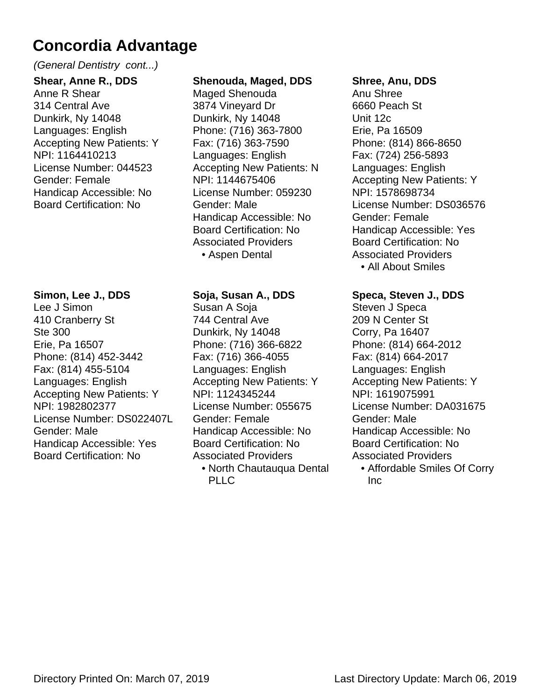#### (General Dentistry cont...)

**Shear, Anne R., DDS** Anne R Shear 314 Central Ave Dunkirk, Ny 14048 Languages: English Accepting New Patients: Y NPI: 1164410213 License Number: 044523 Gender: Female Handicap Accessible: No Board Certification: No

#### **Simon, Lee J., DDS**

Lee J Simon 410 Cranberry St Ste 300 Erie, Pa 16507 Phone: (814) 452-3442 Fax: (814) 455-5104 Languages: English Accepting New Patients: Y NPI: 1982802377 License Number: DS022407L Gender: Male Handicap Accessible: Yes Board Certification: No

#### **Shenouda, Maged, DDS**

Maged Shenouda 3874 Vineyard Dr Dunkirk, Ny 14048 Phone: (716) 363-7800 Fax: (716) 363-7590 Languages: English Accepting New Patients: N NPI: 1144675406 License Number: 059230 Gender: Male Handicap Accessible: No Board Certification: No Associated Providers • Aspen Dental

#### **Soja, Susan A., DDS**

Susan A Soja 744 Central Ave Dunkirk, Ny 14048 Phone: (716) 366-6822 Fax: (716) 366-4055 Languages: English Accepting New Patients: Y NPI: 1124345244 License Number: 055675 Gender: Female Handicap Accessible: No Board Certification: No Associated Providers

North Chautauqua Dental • PLLC

#### **Shree, Anu, DDS**

Anu Shree 6660 Peach St Unit 12c Erie, Pa 16509 Phone: (814) 866-8650 Fax: (724) 256-5893 Languages: English Accepting New Patients: Y NPI: 1578698734 License Number: DS036576 Gender: Female Handicap Accessible: Yes Board Certification: No Associated Providers • All About Smiles

**Speca, Steven J., DDS**

Steven J Speca 209 N Center St Corry, Pa 16407 Phone: (814) 664-2012 Fax: (814) 664-2017 Languages: English Accepting New Patients: Y NPI: 1619075991 License Number: DA031675 Gender: Male Handicap Accessible: No Board Certification: No Associated Providers

Affordable Smiles Of Corry • Inc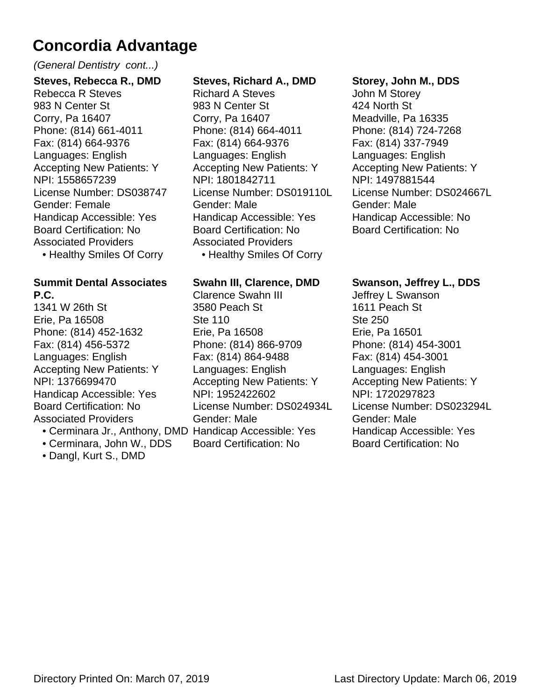#### (General Dentistry cont...)

**Steves, Rebecca R., DMD** Rebecca R Steves 983 N Center St Corry, Pa 16407 Phone: (814) 661-4011 Fax: (814) 664-9376 Languages: English Accepting New Patients: Y NPI: 1558657239 License Number: DS038747 Gender: Female Handicap Accessible: Yes Board Certification: No Associated Providers • Healthy Smiles Of Corry

#### **Summit Dental Associates P.C.**

1341 W 26th St Erie, Pa 16508 Phone: (814) 452-1632 Fax: (814) 456-5372 Languages: English Accepting New Patients: Y NPI: 1376699470 Handicap Accessible: Yes Board Certification: No Associated Providers

- 
- Cerminara, John W., DDS
- Dangl, Kurt S., DMD

#### **Steves, Richard A., DMD**

Richard A Steves 983 N Center St Corry, Pa 16407 Phone: (814) 664-4011 Fax: (814) 664-9376 Languages: English Accepting New Patients: Y NPI: 1801842711 License Number: DS019110L Gender: Male Handicap Accessible: Yes Board Certification: No Associated Providers • Healthy Smiles Of Corry

#### **Swahn III, Clarence, DMD**

• Cerminara Jr., Anthony, DMD Handicap Accessible: Yes Clarence Swahn III 3580 Peach St Ste 110 Erie, Pa 16508 Phone: (814) 866-9709 Fax: (814) 864-9488 Languages: English Accepting New Patients: Y NPI: 1952422602 License Number: DS024934L Gender: Male Board Certification: No

#### **Storey, John M., DDS**

John M Storey 424 North St Meadville, Pa 16335 Phone: (814) 724-7268 Fax: (814) 337-7949 Languages: English Accepting New Patients: Y NPI: 1497881544 License Number: DS024667L Gender: Male Handicap Accessible: No Board Certification: No

#### **Swanson, Jeffrey L., DDS**

Jeffrey L Swanson 1611 Peach St Ste 250 Erie, Pa 16501 Phone: (814) 454-3001 Fax: (814) 454-3001 Languages: English Accepting New Patients: Y NPI: 1720297823 License Number: DS023294L Gender: Male Handicap Accessible: Yes Board Certification: No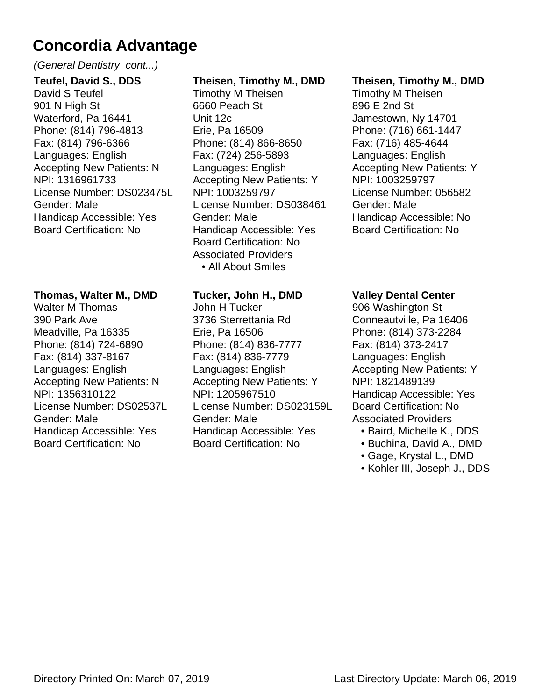#### (General Dentistry cont...)

**Teufel, David S., DDS** David S Teufel 901 N High St Waterford, Pa 16441 Phone: (814) 796-4813 Fax: (814) 796-6366 Languages: English Accepting New Patients: N NPI: 1316961733 License Number: DS023475L Gender: Male Handicap Accessible: Yes Board Certification: No

#### **Thomas, Walter M., DMD**

Walter M Thomas 390 Park Ave Meadville, Pa 16335 Phone: (814) 724-6890 Fax: (814) 337-8167 Languages: English Accepting New Patients: N NPI: 1356310122 License Number: DS02537L Gender: Male Handicap Accessible: Yes Board Certification: No

#### **Theisen, Timothy M., DMD**

Timothy M Theisen 6660 Peach St Unit 12c Erie, Pa 16509 Phone: (814) 866-8650 Fax: (724) 256-5893 Languages: English Accepting New Patients: Y NPI: 1003259797 License Number: DS038461 Gender: Male Handicap Accessible: Yes Board Certification: No Associated Providers • All About Smiles

#### **Tucker, John H., DMD**

John H Tucker 3736 Sterrettania Rd Erie, Pa 16506 Phone: (814) 836-7777 Fax: (814) 836-7779 Languages: English Accepting New Patients: Y NPI: 1205967510 License Number: DS023159L Gender: Male Handicap Accessible: Yes Board Certification: No

#### **Theisen, Timothy M., DMD**

Timothy M Theisen 896 E 2nd St Jamestown, Ny 14701 Phone: (716) 661-1447 Fax: (716) 485-4644 Languages: English Accepting New Patients: Y NPI: 1003259797 License Number: 056582 Gender: Male Handicap Accessible: No Board Certification: No

#### **Valley Dental Center**

906 Washington St Conneautville, Pa 16406 Phone: (814) 373-2284 Fax: (814) 373-2417 Languages: English Accepting New Patients: Y NPI: 1821489139 Handicap Accessible: Yes Board Certification: No Associated Providers

- Baird, Michelle K., DDS
- Buchina, David A., DMD
- Gage, Krystal L., DMD
- Kohler III, Joseph J., DDS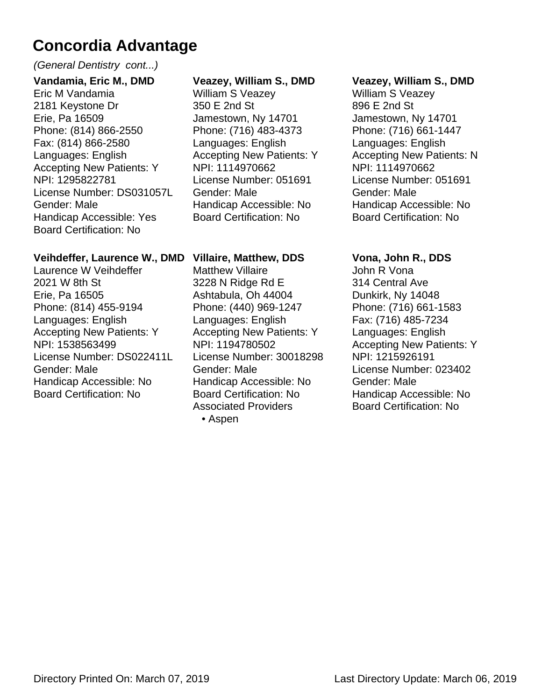#### (General Dentistry cont...)

**Vandamia, Eric M., DMD** Eric M Vandamia 2181 Keystone Dr Erie, Pa 16509 Phone: (814) 866-2550 Fax: (814) 866-2580 Languages: English Accepting New Patients: Y NPI: 1295822781 License Number: DS031057L Gender: Male Handicap Accessible: Yes Board Certification: No

#### **Veihdeffer, Laurence W., DMD**

Laurence W Veihdeffer 2021 W 8th St Erie, Pa 16505 Phone: (814) 455-9194 Languages: English Accepting New Patients: Y NPI: 1538563499 License Number: DS022411L Gender: Male Handicap Accessible: No Board Certification: No

#### **Veazey, William S., DMD**

William S Veazey 350 E 2nd St Jamestown, Ny 14701 Phone: (716) 483-4373 Languages: English Accepting New Patients: Y NPI: 1114970662 License Number: 051691 Gender: Male Handicap Accessible: No Board Certification: No

#### **Villaire, Matthew, DDS**

Matthew Villaire 3228 N Ridge Rd E Ashtabula, Oh 44004 Phone: (440) 969-1247 Languages: English Accepting New Patients: Y NPI: 1194780502 License Number: 30018298 Gender: Male Handicap Accessible: No Board Certification: No Associated Providers • Aspen

#### **Veazey, William S., DMD**

William S Veazey 896 E 2nd St Jamestown, Ny 14701 Phone: (716) 661-1447 Languages: English Accepting New Patients: N NPI: 1114970662 License Number: 051691 Gender: Male Handicap Accessible: No Board Certification: No

#### **Vona, John R., DDS**

John R Vona 314 Central Ave Dunkirk, Ny 14048 Phone: (716) 661-1583 Fax: (716) 485-7234 Languages: English Accepting New Patients: Y NPI: 1215926191 License Number: 023402 Gender: Male Handicap Accessible: No Board Certification: No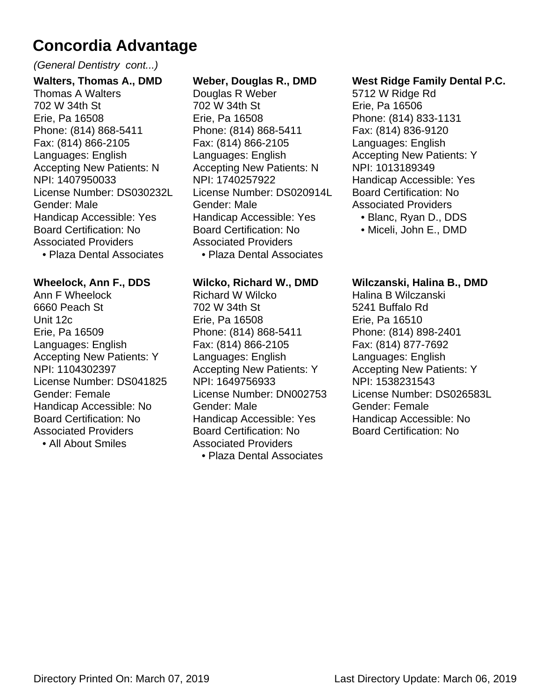#### (General Dentistry cont...)

**Walters, Thomas A., DMD** Thomas A Walters 702 W 34th St Erie, Pa 16508 Phone: (814) 868-5411 Fax: (814) 866-2105 Languages: English Accepting New Patients: N NPI: 1407950033 License Number: DS030232L Gender: Male Handicap Accessible: Yes Board Certification: No Associated Providers • Plaza Dental Associates

#### **Wheelock, Ann F., DDS**

Ann F Wheelock 6660 Peach St Unit 12c Erie, Pa 16509 Languages: English Accepting New Patients: Y NPI: 1104302397 License Number: DS041825 Gender: Female Handicap Accessible: No Board Certification: No Associated Providers

• All About Smiles

#### **Weber, Douglas R., DMD**

Douglas R Weber 702 W 34th St Erie, Pa 16508 Phone: (814) 868-5411 Fax: (814) 866-2105 Languages: English Accepting New Patients: N NPI: 1740257922 License Number: DS020914L Gender: Male Handicap Accessible: Yes Board Certification: No Associated Providers • Plaza Dental Associates

#### **Wilcko, Richard W., DMD**

Richard W Wilcko 702 W 34th St Erie, Pa 16508 Phone: (814) 868-5411 Fax: (814) 866-2105 Languages: English Accepting New Patients: Y NPI: 1649756933 License Number: DN002753 Gender: Male Handicap Accessible: Yes Board Certification: No Associated Providers • Plaza Dental Associates

#### **West Ridge Family Dental P.C.**

5712 W Ridge Rd Erie, Pa 16506 Phone: (814) 833-1131 Fax: (814) 836-9120 Languages: English Accepting New Patients: Y NPI: 1013189349 Handicap Accessible: Yes Board Certification: No Associated Providers

- Blanc, Ryan D., DDS
- Miceli, John E., DMD

#### **Wilczanski, Halina B., DMD**

Halina B Wilczanski 5241 Buffalo Rd Erie, Pa 16510 Phone: (814) 898-2401 Fax: (814) 877-7692 Languages: English Accepting New Patients: Y NPI: 1538231543 License Number: DS026583L Gender: Female Handicap Accessible: No Board Certification: No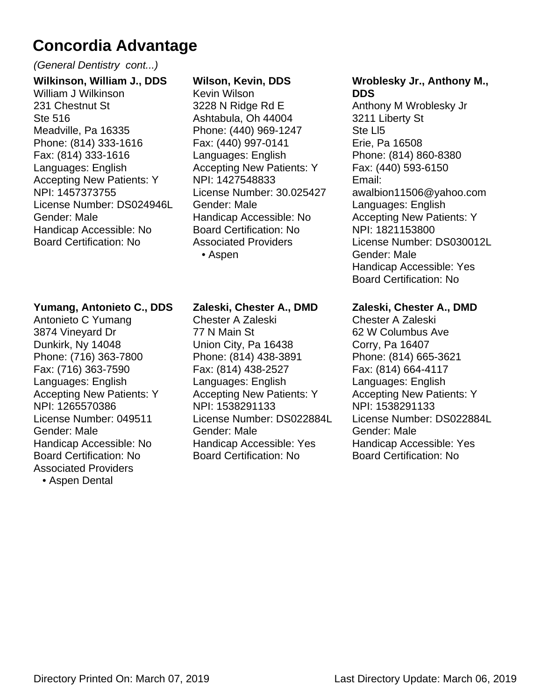#### (General Dentistry cont...)

**Wilkinson, William J., DDS** William J Wilkinson 231 Chestnut St Ste 516 Meadville, Pa 16335 Phone: (814) 333-1616 Fax: (814) 333-1616 Languages: English Accepting New Patients: Y NPI: 1457373755 License Number: DS024946L Gender: Male Handicap Accessible: No Board Certification: No

#### **Yumang, Antonieto C., DDS**

Antonieto C Yumang 3874 Vineyard Dr Dunkirk, Ny 14048 Phone: (716) 363-7800 Fax: (716) 363-7590 Languages: English Accepting New Patients: Y NPI: 1265570386 License Number: 049511 Gender: Male Handicap Accessible: No Board Certification: No Associated Providers • Aspen Dental

#### **Wilson, Kevin, DDS**

Kevin Wilson 3228 N Ridge Rd E Ashtabula, Oh 44004 Phone: (440) 969-1247 Fax: (440) 997-0141 Languages: English Accepting New Patients: Y NPI: 1427548833 License Number: 30.025427 Gender: Male Handicap Accessible: No Board Certification: No Associated Providers • Aspen

#### **Zaleski, Chester A., DMD**

Chester A Zaleski 77 N Main St Union City, Pa 16438 Phone: (814) 438-3891 Fax: (814) 438-2527 Languages: English Accepting New Patients: Y NPI: 1538291133 License Number: DS022884L Gender: Male Handicap Accessible: Yes Board Certification: No

#### **Wroblesky Jr., Anthony M., DDS**

Anthony M Wroblesky Jr 3211 Liberty St Ste Ll5 Erie, Pa 16508 Phone: (814) 860-8380 Fax: (440) 593-6150 Email: awalbion11506@yahoo.com Languages: English Accepting New Patients: Y NPI: 1821153800 License Number: DS030012L Gender: Male Handicap Accessible: Yes Board Certification: No

#### **Zaleski, Chester A., DMD**

Chester A Zaleski 62 W Columbus Ave Corry, Pa 16407 Phone: (814) 665-3621 Fax: (814) 664-4117 Languages: English Accepting New Patients: Y NPI: 1538291133 License Number: DS022884L Gender: Male Handicap Accessible: Yes Board Certification: No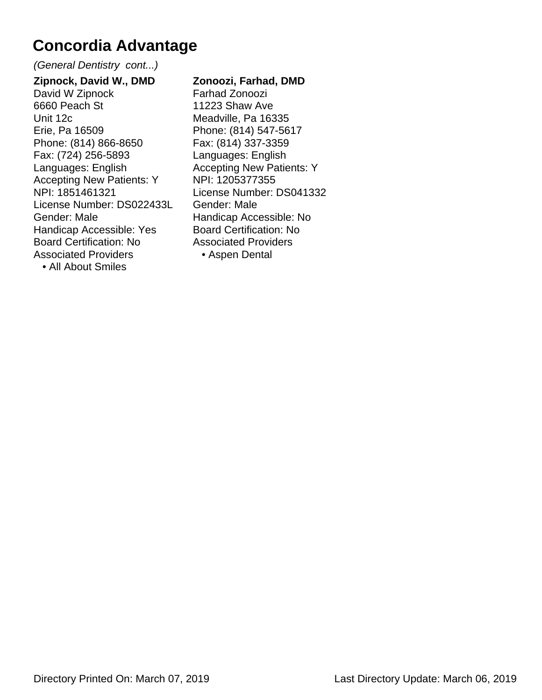(General Dentistry cont...)

**Zipnock, David W., DMD** David W Zipnock 6660 Peach St Unit 12c Erie, Pa 16509 Phone: (814) 866-8650 Fax: (724) 256-5893 Languages: English Accepting New Patients: Y NPI: 1851461321 License Number: DS022433L Gender: Male Handicap Accessible: Yes Board Certification: No Associated Providers • All About Smiles

**Zonoozi, Farhad, DMD** Farhad Zonoozi 11223 Shaw Ave Meadville, Pa 16335 Phone: (814) 547-5617 Fax: (814) 337-3359 Languages: English Accepting New Patients: Y NPI: 1205377355 License Number: DS041332 Gender: Male Handicap Accessible: No Board Certification: No Associated Providers • Aspen Dental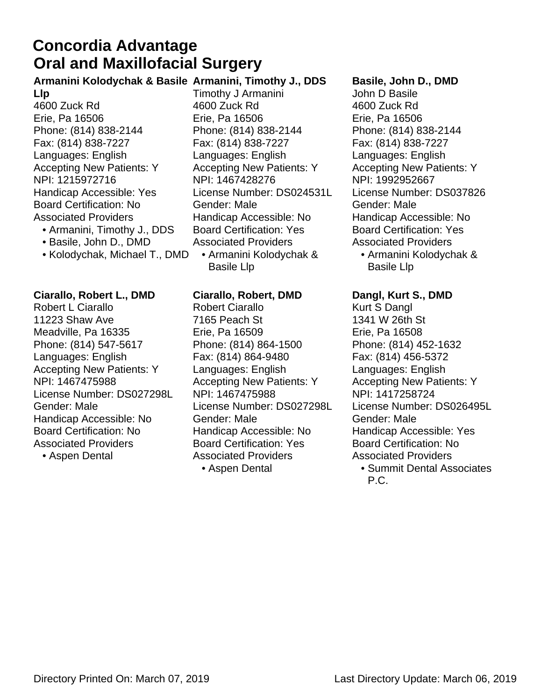### **Oral and Maxillofacial Surgery Concordia Advantage**

#### **Armanini Kolodychak & Basile Armanini, Timothy J., DDS**

- **Llp** 4600 Zuck Rd Erie, Pa 16506 Phone: (814) 838-2144 Fax: (814) 838-7227 Languages: English Accepting New Patients: Y NPI: 1215972716 Handicap Accessible: Yes Board Certification: No Associated Providers
	- Armanini, Timothy J., DDS
	- Basile, John D., DMD
	- Kolodychak, Michael T., DMD

**Ciarallo, Robert L., DMD** Robert L Ciarallo 11223 Shaw Ave Meadville, Pa 16335 Phone: (814) 547-5617 Languages: English Accepting New Patients: Y NPI: 1467475988 License Number: DS027298L Gender: Male Handicap Accessible: No Board Certification: No Associated Providers

• Aspen Dental

Timothy J Armanini 4600 Zuck Rd Erie, Pa 16506 Phone: (814) 838-2144 Fax: (814) 838-7227 Languages: English Accepting New Patients: Y NPI: 1467428276 License Number: DS024531L Gender: Male Handicap Accessible: No Board Certification: Yes Associated Providers Armanini Kolodychak & •

**Ciarallo, Robert, DMD**

Basile Llp

Robert Ciarallo 7165 Peach St Erie, Pa 16509 Phone: (814) 864-1500 Fax: (814) 864-9480 Languages: English Accepting New Patients: Y NPI: 1467475988 License Number: DS027298L Gender: Male Handicap Accessible: No Board Certification: Yes Associated Providers

• Aspen Dental

#### **Basile, John D., DMD**

John D Basile 4600 Zuck Rd Erie, Pa 16506 Phone: (814) 838-2144 Fax: (814) 838-7227 Languages: English Accepting New Patients: Y NPI: 1992952667 License Number: DS037826 Gender: Male Handicap Accessible: No Board Certification: Yes Associated Providers

Armanini Kolodychak & • Basile Llp

**Dangl, Kurt S., DMD** Kurt S Dangl 1341 W 26th St Erie, Pa 16508 Phone: (814) 452-1632 Fax: (814) 456-5372 Languages: English Accepting New Patients: Y NPI: 1417258724 License Number: DS026495L Gender: Male Handicap Accessible: Yes Board Certification: No Associated Providers

Summit Dental Associates • P.C.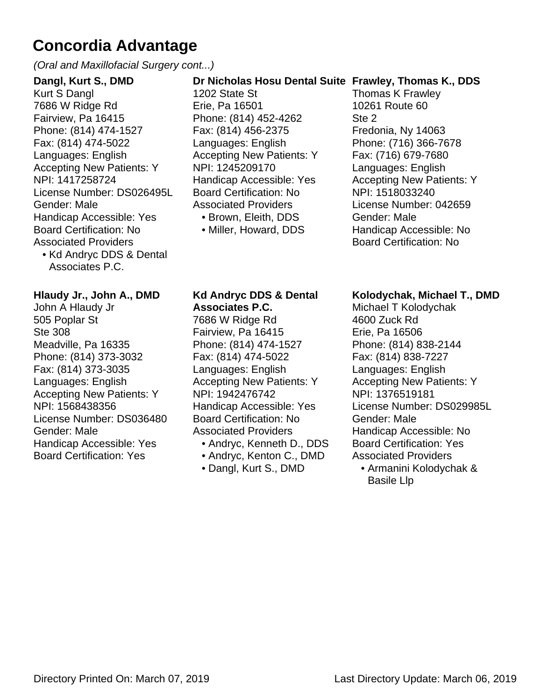(Oral and Maxillofacial Surgery cont...)

**Dangl, Kurt S., DMD** Kurt S Dangl 7686 W Ridge Rd Fairview, Pa 16415 Phone: (814) 474-1527 Fax: (814) 474-5022 Languages: English Accepting New Patients: Y NPI: 1417258724 License Number: DS026495L Gender: Male Handicap Accessible: Yes Board Certification: No Associated Providers • Kd Andryc DDS & Dental

Associates P.C.

#### **Hlaudy Jr., John A., DMD**

John A Hlaudy Jr 505 Poplar St Ste 308 Meadville, Pa 16335 Phone: (814) 373-3032 Fax: (814) 373-3035 Languages: English Accepting New Patients: Y NPI: 1568438356 License Number: DS036480 Gender: Male Handicap Accessible: Yes Board Certification: Yes

#### **Dr Nicholas Hosu Dental Suite Frawley, Thomas K., DDS**

1202 State St Erie, Pa 16501 Phone: (814) 452-4262 Fax: (814) 456-2375 Languages: English Accepting New Patients: Y NPI: 1245209170 Handicap Accessible: Yes Board Certification: No Associated Providers • Brown, Eleith, DDS

• Miller, Howard, DDS

Thomas K Frawley 10261 Route 60 Ste 2 Fredonia, Ny 14063 Phone: (716) 366-7678 Fax: (716) 679-7680 Languages: English Accepting New Patients: Y NPI: 1518033240 License Number: 042659 Gender: Male Handicap Accessible: No Board Certification: No

#### **Kd Andryc DDS & Dental Associates P.C.**

7686 W Ridge Rd Fairview, Pa 16415 Phone: (814) 474-1527 Fax: (814) 474-5022 Languages: English Accepting New Patients: Y NPI: 1942476742 Handicap Accessible: Yes Board Certification: No Associated Providers

- Andryc, Kenneth D., DDS
- Andryc, Kenton C., DMD
- Dangl, Kurt S., DMD

#### **Kolodychak, Michael T., DMD**

Michael T Kolodychak 4600 Zuck Rd Erie, Pa 16506 Phone: (814) 838-2144 Fax: (814) 838-7227 Languages: English Accepting New Patients: Y NPI: 1376519181 License Number: DS029985L Gender: Male Handicap Accessible: No Board Certification: Yes Associated Providers

Armanini Kolodychak & • Basile Llp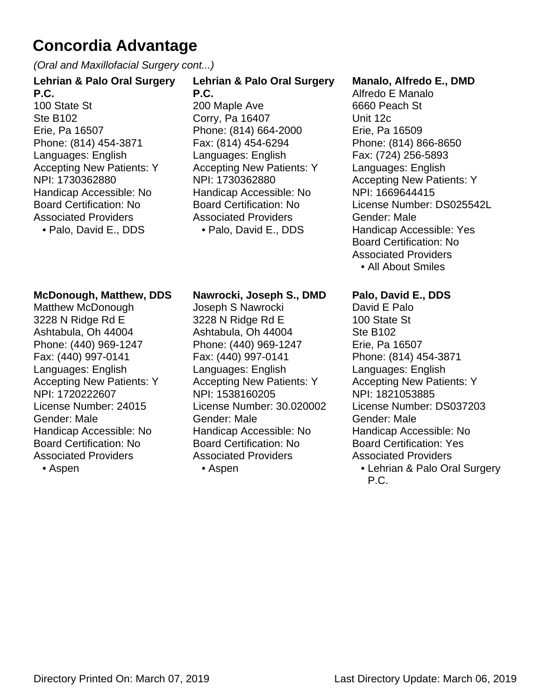(Oral and Maxillofacial Surgery cont...)

#### **Lehrian & Palo Oral Surgery P.C.**

100 State St Ste B102 Erie, Pa 16507 Phone: (814) 454-3871 Languages: English Accepting New Patients: Y NPI: 1730362880 Handicap Accessible: No Board Certification: No Associated Providers

• Palo, David E., DDS

#### **Lehrian & Palo Oral Surgery P.C.**

200 Maple Ave Corry, Pa 16407 Phone: (814) 664-2000 Fax: (814) 454-6294 Languages: English Accepting New Patients: Y NPI: 1730362880 Handicap Accessible: No Board Certification: No Associated Providers • Palo, David E., DDS

#### **Manalo, Alfredo E., DMD**

Alfredo E Manalo 6660 Peach St Unit 12c Erie, Pa 16509 Phone: (814) 866-8650 Fax: (724) 256-5893 Languages: English Accepting New Patients: Y NPI: 1669644415 License Number: DS025542L Gender: Male Handicap Accessible: Yes Board Certification: No Associated Providers

• All About Smiles

#### **McDonough, Matthew, DDS**

Matthew McDonough 3228 N Ridge Rd E Ashtabula, Oh 44004 Phone: (440) 969-1247 Fax: (440) 997-0141 Languages: English Accepting New Patients: Y NPI: 1720222607 License Number: 24015 Gender: Male Handicap Accessible: No Board Certification: No Associated Providers

• Aspen

#### **Nawrocki, Joseph S., DMD**

Joseph S Nawrocki 3228 N Ridge Rd E Ashtabula, Oh 44004 Phone: (440) 969-1247 Fax: (440) 997-0141 Languages: English Accepting New Patients: Y NPI: 1538160205 License Number: 30.020002 Gender: Male Handicap Accessible: No Board Certification: No Associated Providers

• Aspen

#### **Palo, David E., DDS**

David E Palo 100 State St Ste B102 Erie, Pa 16507 Phone: (814) 454-3871 Languages: English Accepting New Patients: Y NPI: 1821053885 License Number: DS037203 Gender: Male Handicap Accessible: No Board Certification: Yes Associated Providers Lehrian & Palo Oral Surgery •

P.C.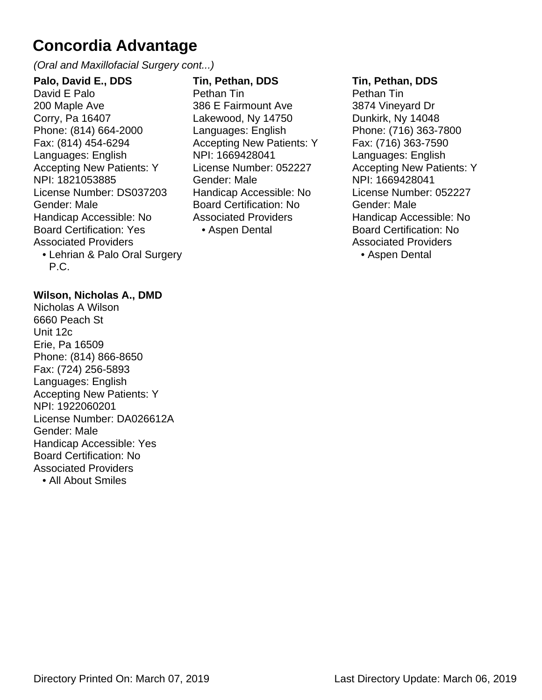(Oral and Maxillofacial Surgery cont...)

**Palo, David E., DDS** David E Palo 200 Maple Ave Corry, Pa 16407 Phone: (814) 664-2000 Fax: (814) 454-6294 Languages: English Accepting New Patients: Y NPI: 1821053885 License Number: DS037203 Gender: Male Handicap Accessible: No Board Certification: Yes Associated Providers • Lehrian & Palo Oral Surgery **Tin, Pethan, DDS** Pethan Tin 386 E Fairmount Ave Lakewood, Ny 14750 Languages: English Accepting New Patients: Y NPI: 1669428041 License Number: 052227 Gender: Male Handicap Accessible: No Board Certification: No Associated Providers • Aspen Dental

#### **Tin, Pethan, DDS**

Pethan Tin 3874 Vineyard Dr Dunkirk, Ny 14048 Phone: (716) 363-7800 Fax: (716) 363-7590 Languages: English Accepting New Patients: Y NPI: 1669428041 License Number: 052227 Gender: Male Handicap Accessible: No Board Certification: No Associated Providers • Aspen Dental

#### **Wilson, Nicholas A., DMD**

P.C.

Nicholas A Wilson 6660 Peach St Unit 12c Erie, Pa 16509 Phone: (814) 866-8650 Fax: (724) 256-5893 Languages: English Accepting New Patients: Y NPI: 1922060201 License Number: DA026612A Gender: Male Handicap Accessible: Yes Board Certification: No Associated Providers • All About Smiles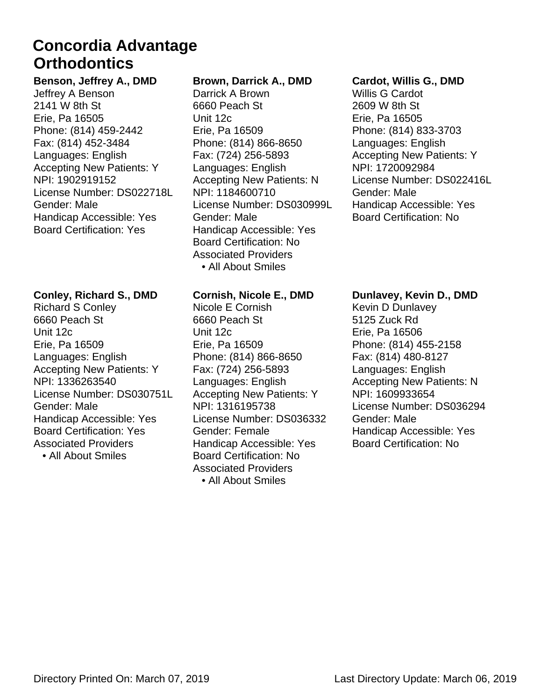### **Orthodontics Concordia Advantage**

**Benson, Jeffrey A., DMD** Jeffrey A Benson 2141 W 8th St Erie, Pa 16505 Phone: (814) 459-2442 Fax: (814) 452-3484 Languages: English Accepting New Patients: Y NPI: 1902919152 License Number: DS022718L Gender: Male Handicap Accessible: Yes Board Certification: Yes

#### **Conley, Richard S., DMD**

Richard S Conley 6660 Peach St Unit 12c Erie, Pa 16509 Languages: English Accepting New Patients: Y NPI: 1336263540 License Number: DS030751L Gender: Male Handicap Accessible: Yes Board Certification: Yes Associated Providers • All About Smiles

#### **Brown, Darrick A., DMD**

Darrick A Brown 6660 Peach St Unit 12c Erie, Pa 16509 Phone: (814) 866-8650 Fax: (724) 256-5893 Languages: English Accepting New Patients: N NPI: 1184600710 License Number: DS030999L Gender: Male Handicap Accessible: Yes Board Certification: No Associated Providers • All About Smiles

#### **Cornish, Nicole E., DMD**

Nicole E Cornish 6660 Peach St Unit 12c Erie, Pa 16509 Phone: (814) 866-8650 Fax: (724) 256-5893 Languages: English Accepting New Patients: Y NPI: 1316195738 License Number: DS036332 Gender: Female Handicap Accessible: Yes Board Certification: No Associated Providers • All About Smiles

#### **Cardot, Willis G., DMD**

Willis G Cardot 2609 W 8th St Erie, Pa 16505 Phone: (814) 833-3703 Languages: English Accepting New Patients: Y NPI: 1720092984 License Number: DS022416L Gender: Male Handicap Accessible: Yes Board Certification: No

#### **Dunlavey, Kevin D., DMD**

Kevin D Dunlavey 5125 Zuck Rd Erie, Pa 16506 Phone: (814) 455-2158 Fax: (814) 480-8127 Languages: English Accepting New Patients: N NPI: 1609933654 License Number: DS036294 Gender: Male Handicap Accessible: Yes Board Certification: No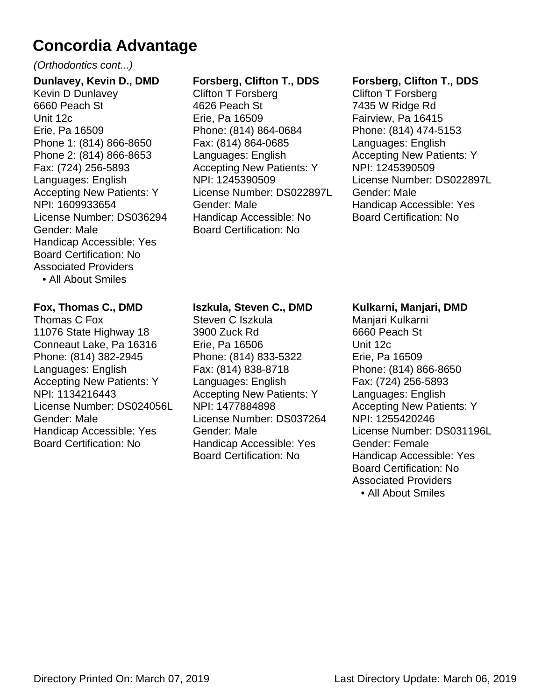#### (Orthodontics cont...)

**Dunlavey, Kevin D., DMD** Kevin D Dunlavey 6660 Peach St Unit 12c Erie, Pa 16509 Phone 1: (814) 866-8650 Phone 2: (814) 866-8653 Fax: (724) 256-5893 Languages: English Accepting New Patients: Y NPI: 1609933654 License Number: DS036294 Gender: Male Handicap Accessible: Yes Board Certification: No Associated Providers • All About Smiles

#### **Fox, Thomas C., DMD**

Thomas C Fox 11076 State Highway 18 Conneaut Lake, Pa 16316 Phone: (814) 382-2945 Languages: English Accepting New Patients: Y NPI: 1134216443 License Number: DS024056L Gender: Male Handicap Accessible: Yes Board Certification: No

#### **Forsberg, Clifton T., DDS**

Clifton T Forsberg 4626 Peach St Erie, Pa 16509 Phone: (814) 864-0684 Fax: (814) 864-0685 Languages: English Accepting New Patients: Y NPI: 1245390509 License Number: DS022897L Gender: Male Handicap Accessible: No Board Certification: No

#### **Forsberg, Clifton T., DDS**

Clifton T Forsberg 7435 W Ridge Rd Fairview, Pa 16415 Phone: (814) 474-5153 Languages: English Accepting New Patients: Y NPI: 1245390509 License Number: DS022897L Gender: Male Handicap Accessible: Yes Board Certification: No

#### **Iszkula, Steven C., DMD**

Steven C Iszkula 3900 Zuck Rd Erie, Pa 16506 Phone: (814) 833-5322 Fax: (814) 838-8718 Languages: English Accepting New Patients: Y NPI: 1477884898 License Number: DS037264 Gender: Male Handicap Accessible: Yes Board Certification: No

#### **Kulkarni, Manjari, DMD**

Manjari Kulkarni 6660 Peach St Unit 12c Erie, Pa 16509 Phone: (814) 866-8650 Fax: (724) 256-5893 Languages: English Accepting New Patients: Y NPI: 1255420246 License Number: DS031196L Gender: Female Handicap Accessible: Yes Board Certification: No Associated Providers • All About Smiles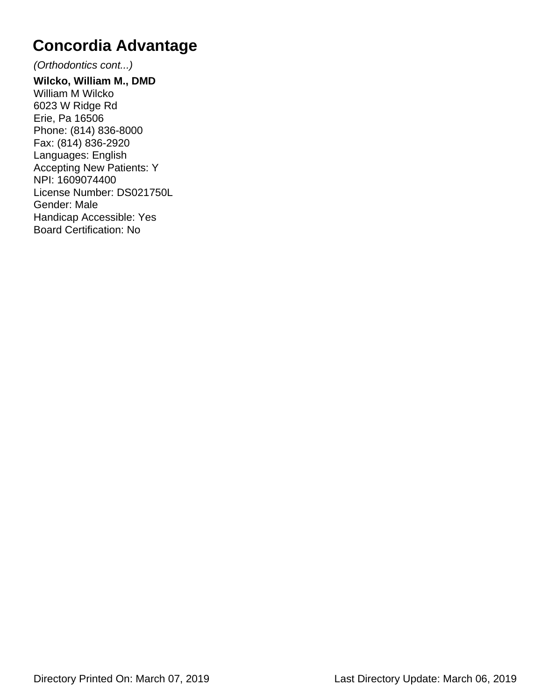(Orthodontics cont...)

**Wilcko, William M., DMD** William M Wilcko 6023 W Ridge Rd Erie, Pa 16506 Phone: (814) 836-8000 Fax: (814) 836-2920 Languages: English Accepting New Patients: Y NPI: 1609074400 License Number: DS021750L Gender: Male Handicap Accessible: Yes Board Certification: No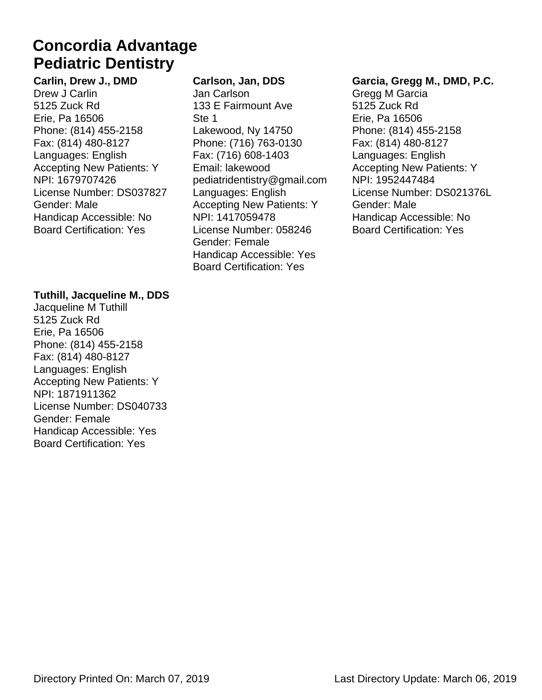### **Pediatric Dentistry Concordia Advantage**

**Carlin, Drew J., DMD** Drew J Carlin 5125 Zuck Rd Erie, Pa 16506 Phone: (814) 455-2158 Fax: (814) 480-8127 Languages: English Accepting New Patients: Y NPI: 1679707426 License Number: DS037827 Gender: Male Handicap Accessible: No Board Certification: Yes

#### **Tuthill, Jacqueline M., DDS**

Jacqueline M Tuthill 5125 Zuck Rd Erie, Pa 16506 Phone: (814) 455-2158 Fax: (814) 480-8127 Languages: English Accepting New Patients: Y NPI: 1871911362 License Number: DS040733 Gender: Female Handicap Accessible: Yes Board Certification: Yes

#### **Carlson, Jan, DDS**

Jan Carlson 133 E Fairmount Ave Ste 1 Lakewood, Ny 14750 Phone: (716) 763-0130 Fax: (716) 608-1403 Email: lakewood pediatridentistry@gmail.com Languages: English Accepting New Patients: Y NPI: 1417059478 License Number: 058246 Gender: Female Handicap Accessible: Yes Board Certification: Yes

#### **Garcia, Gregg M., DMD, P.C.**

Gregg M Garcia 5125 Zuck Rd Erie, Pa 16506 Phone: (814) 455-2158 Fax: (814) 480-8127 Languages: English Accepting New Patients: Y NPI: 1952447484 License Number: DS021376L Gender: Male Handicap Accessible: No Board Certification: Yes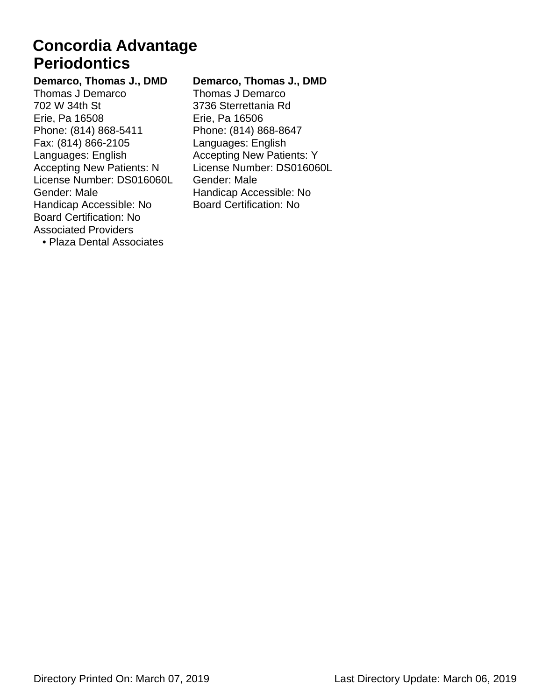### **Periodontics Concordia Advantage**

**Demarco, Thomas J., DMD** Thomas J Demarco 702 W 34th St Erie, Pa 16508 Phone: (814) 868-5411 Fax: (814) 866-2105 Languages: English Accepting New Patients: N License Number: DS016060L Gender: Male Handicap Accessible: No Board Certification: No Associated Providers • Plaza Dental Associates

#### **Demarco, Thomas J., DMD**

Thomas J Demarco 3736 Sterrettania Rd Erie, Pa 16506 Phone: (814) 868-8647 Languages: English Accepting New Patients: Y License Number: DS016060L Gender: Male Handicap Accessible: No Board Certification: No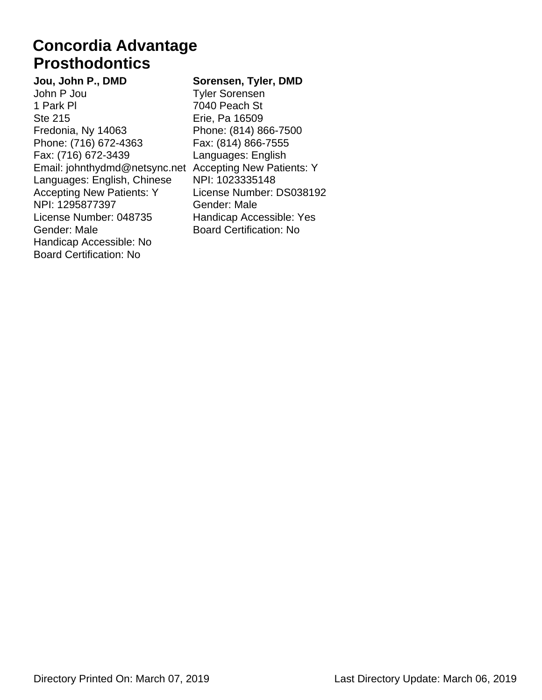### **Prosthodontics Concordia Advantage**

**Jou, John P., DMD** John P Jou 1 Park Pl Ste 215 Fredonia, Ny 14063 Phone: (716) 672-4363 Fax: (716) 672-3439 Email: johnthydmd@netsync.net Accepting New Patients: Y Languages: English, Chinese Accepting New Patients: Y NPI: 1295877397 License Number: 048735 Gender: Male Handicap Accessible: No Board Certification: No

#### **Sorensen, Tyler, DMD**

Tyler Sorensen 7040 Peach St Erie, Pa 16509 Phone: (814) 866-7500 Fax: (814) 866-7555 Languages: English NPI: 1023335148 License Number: DS038192 Gender: Male Handicap Accessible: Yes Board Certification: No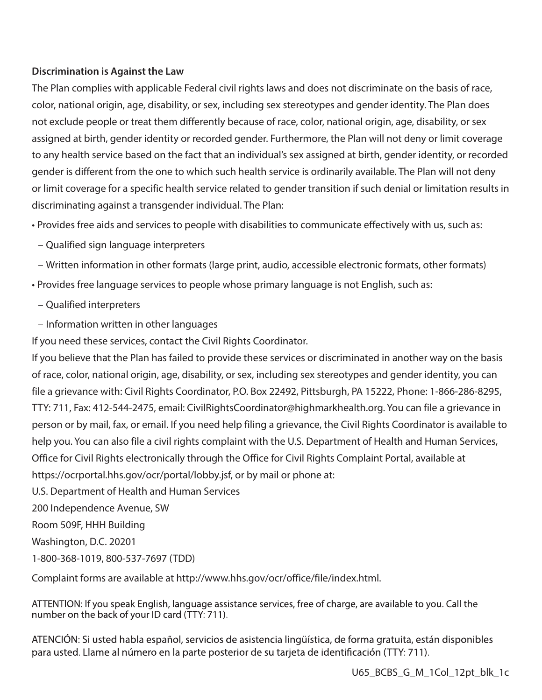#### **Discrimination is Against the Law**

The Plan complies with applicable Federal civil rights laws and does not discriminate on the basis of race, color, national origin, age, disability, or sex, including sex stereotypes and gender identity. The Plan does not exclude people or treat them differently because of race, color, national origin, age, disability, or sex assigned at birth, gender identity or recorded gender. Furthermore, the Plan will not deny or limit coverage to any health service based on the fact that an individual's sex assigned at birth, gender identity, or recorded gender is different from the one to which such health service is ordinarily available. The Plan will not deny or limit coverage for a specific health service related to gender transition if such denial or limitation results in discriminating against a transgender individual. The Plan:

• Provides free aids and services to people with disabilities to communicate effectively with us, such as:

- Qualified sign language interpreters
- Written information in other formats (large print, audio, accessible electronic formats, other formats)
- Provides free language services to people whose primary language is not English, such as:
	- Qualified interpreters
- Information written in other languages

If you need these services, contact the Civil Rights Coordinator.

If you believe that the Plan has failed to provide these services or discriminated in another way on the basis of race, color, national origin, age, disability, or sex, including sex stereotypes and gender identity, you can file a grievance with: Civil Rights Coordinator, P.O. Box 22492, Pittsburgh, PA 15222, Phone: 1-866-286-8295, TTY: 711, Fax: 412-544-2475, email: CivilRightsCoordinator@highmarkhealth.org. You can file a grievance in person or by mail, fax, or email. If you need help filing a grievance, the Civil Rights Coordinator is available to help you. You can also file a civil rights complaint with the U.S. Department of Health and Human Services, Office for Civil Rights electronically through the Office for Civil Rights Complaint Portal, available at https://ocrportal.hhs.gov/ocr/portal/lobby.jsf, or by mail or phone at:

U.S. Department of Health and Human Services

200 Independence Avenue, SW

Room 509F, HHH Building

Washington, D.C. 20201

1-800-368-1019, 800-537-7697 (TDD)

Complaint forms are available at http://www.hhs.gov/ocr/office/file/index.html.

ATTENTION: If you speak English, language assistance services, free of charge, are available to you. Call the number on the back of your ID card (TTY: 711).

ATENCIÓN: Si usted habla español, servicios de asistencia lingüística, de forma gratuita, están disponibles para usted. Llame al número en la parte posterior de su tarjeta de identificación (TTY: 711).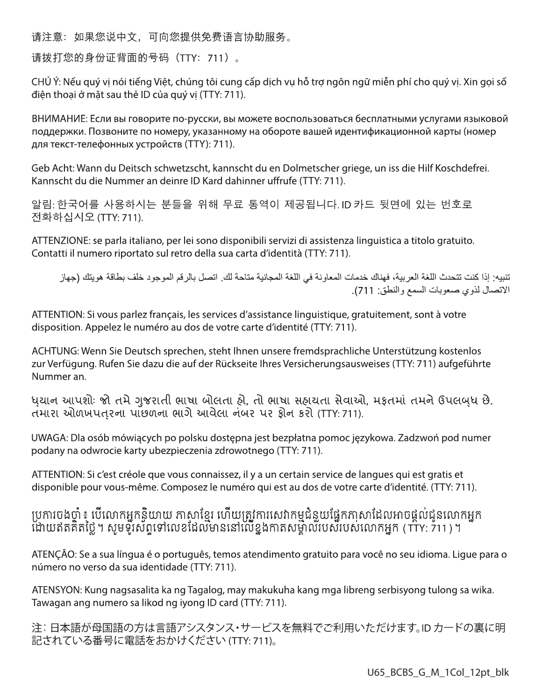请注意:如果您说中文,可向您提供免费语言协助服务。

请拨打您的身份证背面的号码(TTY:711)。

CHÚ Ý: Nếu quý vị nói tiếng Việt, chúng tôi cung cấp dịch vụ hỗ trợ ngôn ngữ miễn phí cho quý vị. Xin gọi số điên thoai ở mặt sau thẻ ID của quý vi (TTY: 711).

ВНИМАНИЕ: Если вы говорите по-русски, вы можете воспользоваться бесплатными услугами языковой поддержки. Позвоните по номеру, указанному на обороте вашей идентификационной карты (номер для текст-телефонных устройств (ТТҮ): 711).

Geb Acht: Wann du Deitsch schwetzscht, kannscht du en Dolmetscher griege, un iss die Hilf Koschdefrei. Kannscht du die Nummer an deinre ID Kard dahinner uffrufe (TTY: 711).

알림: 한국어를 사용하시는 분들을 위해 무료 통역이 제공됩니다. ID 카드 뒷면에 있는 번호로 전화하십시오 (TTY: 711).

ATTENZIONE: se parla italiano, per lei sono disponibili servizi di assistenza linguistica a titolo gratuito. Contatti il numero riportato sul retro della sua carta d'identità (TTY: 711).

تنبيه: إذا كنت تتحدث اللغة العربية، فهناك خدمات المعاونة في اللغة المجانية متاحة لك. اتصل بالرقم الموجود خلف بطاقة هويتك (جهاز الاتصال لذوي صعوبات السمع والنطق: 711).

ATTENTION: Si vous parlez français, les services d'assistance linguistique, gratuitement, sont à votre disposition. Appelez le numéro au dos de votre carte d'identité (TTY: 711).

ACHTUNG: Wenn Sie Deutsch sprechen, steht Ihnen unsere fremdsprachliche Unterstützung kostenlos zur Verfügung. Rufen Sie dazu die auf der Rückseite Ihres Versicherungsausweises (TTY: 711) aufgeführte Nummer an.

ધયાન આપશોઃ જો તમે ગુજરાતી ભાષા બોલતા હો, તો ભાષા સહાયતા સેવાઓ, મકૃતમાં તમને ઉપલબધ છે. તમારા ઓળખપતરના પાછળના ભાગે આવેલા નંબર પર કોન કરો (TTY: 711).

UWAGA: Dla osób mówiących po polsku dostępna jest bezpłatna pomoc językowa. Zadzwoń pod numer podany na odwrocie karty ubezpieczenia zdrowotnego (TTY: 711).

ATTENTION: Si c'est créole que vous connaissez, il y a un certain service de langues qui est gratis et disponible pour vous-même. Composez le numéro qui est au dos de votre carte d'identité. (TTY: 711).

# ប្រការចងចាំ ៖ បើលោកអ្នកនិយាយ កាសាខ្មែរ ហើយត្រូវការសេវាកម្មជំនួយផ្នែកភាសាដែលអាចផ្តល់ជូនលោកអ្នក<br>ដោយឥតគិតថ្លៃ។ សូមទូរសព្វទៅលេខដែលមាននៅលើខ្នងកាតសម្គាល់របស់របស់លោកអ្នក (TTY: 711)។

ATENÇÃO: Se a sua língua é o português, temos atendimento gratuito para você no seu idioma. Ligue para o número no verso da sua identidade (TTY: 711).

ATENSYON: Kung nagsasalita ka ng Tagalog, may makukuha kang mga libreng serbisyong tulong sa wika. Tawagan ang numero sa likod ng iyong ID card (TTY: 711).

注:日本語が母国語の方は言語アシスタンス・サービスを無料でご利用いただけます。ID カードの裏に明 記されている番号に電話をおかけください (TTY: 711)。